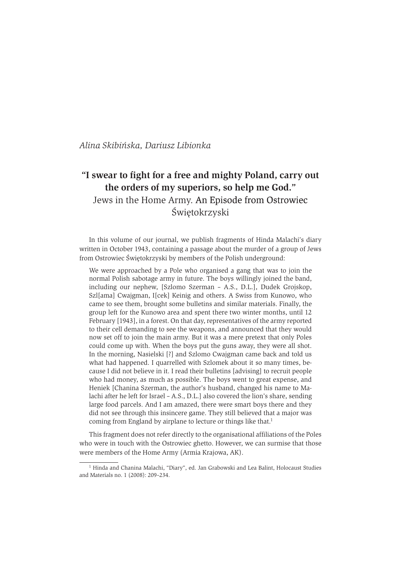Alina Skibińska, Dariusz Libionka

# "I swear to fight for a free and mighty Poland, carry out the orders of my superiors, so help me God." Jews in the Home Army. An Episode from Ostrowiec Świętokrzyski

In this volume of our journal, we publish fragments of Hinda Malachi's diary written in October 1943, containing a passage about the murder of a group of Jews from Ostrowiec Świętokrzyski by members of the Polish underground:

We were approached by a Pole who organised a gang that was to join the normal Polish sabotage army in future. The boys willingly joined the band, including our nephew, [Szlomo Szerman - A.S., D.L.], Dudek Grojskop, Szl[ama] Cwajgman, I[cek] Keinig and others. A Swiss from Kunowo, who came to see them, brought some bulletins and similar materials. Finally, the group left for the Kunowo area and spent there two winter months, until 12 February [1943], in a forest. On that day, representatives of the army reported to their cell demanding to see the weapons, and announced that they would now set off to join the main army. But it was a mere pretext that only Poles could come up with. When the boys put the guns away, they were all shot. In the morning, Nasielski [?] and Szlomo Cwajgman came back and told us what had happened. I quarrelled with Szlomek about it so many times, because I did not believe in it. I read their bulletins [advising] to recruit people who had money, as much as possible. The boys went to great expense, and Heniek [Chanina Szerman, the author's husband, changed his name to Malachi after he left for Israel - A.S., D.L.] also covered the lion's share, sending large food parcels. And I am amazed, there were smart boys there and they did not see through this insincere game. They still believed that a major was coming from England by airplane to lecture or things like that.<sup>1</sup>

This fragment does not refer directly to the organisational affiliations of the Poles who were in touch with the Ostrowiec ghetto. However, we can surmise that those were members of the Home Army (Armia Krajowa, AK).

<sup>&</sup>lt;sup>1</sup> Hinda and Chanina Malachi, "Diary", ed. Jan Grabowski and Lea Balint, Holocaust Studies and Materials no. 1 (2008): 209-234.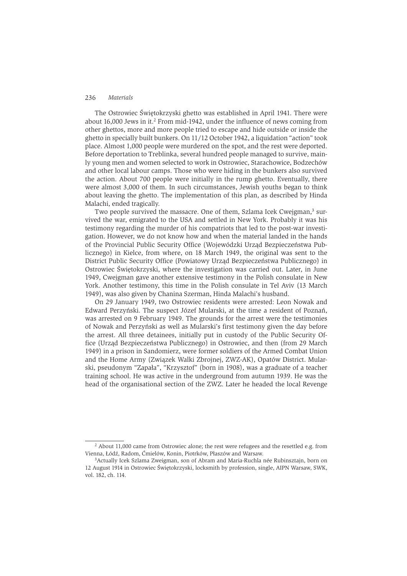The Ostrowiec Świetokrzyski ghetto was established in April 1941. There were about 16,000 Jews in it.<sup>2</sup> From mid-1942, under the influence of news coming from other ghettos, more and more people tried to escape and hide outside or inside the ghetto in specially built bunkers. On 11/12 October 1942, a liquidation "action" took place. Almost 1,000 people were murdered on the spot, and the rest were deported. Before deportation to Treblinka, several hundred people managed to survive, mainly young men and women selected to work in Ostrowiec, Starachowice, Bodzechów and other local labour camps. Those who were hiding in the bunkers also survived the action. About 700 people were initially in the rump ghetto. Eventually, there were almost 3,000 of them. In such circumstances, Jewish youths began to think about leaving the ghetto. The implementation of this plan, as described by Hinda Malachi, ended tragically.

Two people survived the massacre. One of them, Szlama Icek Cweigman,<sup>3</sup> survived the war, emigrated to the USA and settled in New York. Probably it was his testimony regarding the murder of his compatriots that led to the post-war investigation. However, we do not know how and when the material landed in the hands of the Provincial Public Security Office (Wojewódzki Urząd Bezpieczeństwa Publicznego) in Kielce, from where, on 18 March 1949, the original was sent to the District Public Security Office (Powiatowy Urzad Bezpieczeństwa Publicznego) in Ostrowiec Świętokrzyski, where the investigation was carried out. Later, in June 1949, Cweigman gave another extensive testimony in the Polish consulate in New York. Another testimony, this time in the Polish consulate in Tel Aviv (13 March 1949), was also given by Chanina Szerman, Hinda Malachi's husband.

On 29 January 1949, two Ostrowiec residents were arrested: Leon Nowak and Edward Perzyński. The suspect Józef Mularski, at the time a resident of Poznań, was arrested on 9 February 1949. The grounds for the arrest were the testimonies of Nowak and Perzyński as well as Mularski's first testimony given the day before the arrest. All three detainees, initially put in custody of the Public Security Office (Urząd Bezpieczeństwa Publicznego) in Ostrowiec, and then (from 29 March 1949) in a prison in Sandomierz, were former soldiers of the Armed Combat Union and the Home Army (Związek Walki Zbrojnej, ZWZ-AK), Opatów District. Mularski, pseudonym "Zapała", "Krzysztof" (born in 1908), was a graduate of a teacher training school. He was active in the underground from autumn 1939. He was the head of the organisational section of the ZWZ. Later he headed the local Revenge

 $^{2}$  About 11,000 came from Ostrowiec alone; the rest were refugees and the resettled e.g. from Vienna, Łódź, Radom, Ćmielów, Konin, Piotrków, Płaszów and Warsaw.

<sup>&</sup>lt;sup>3</sup>Actually Icek Szlama Zweigman, son of Abram and Maria-Ruchla née Rubinsztajn, born on 12 August 1914 in Ostrowiec Świętokrzyski, locksmith by profession, single, AIPN Warsaw, SWK, vol. 182, ch. 114.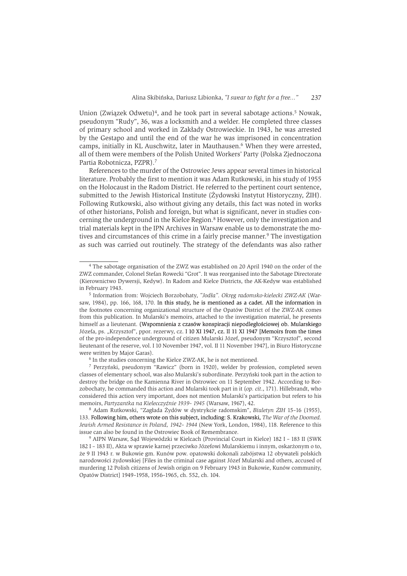Union (Zwiazek Odwetu)<sup>4</sup>, and he took part in several sabotage actions.<sup>5</sup> Nowak, pseudonym "Rudy", 36, was a locksmith and a welder. He completed three classes of primary school and worked in Zakłady Ostrowieckie. In 1943, he was arrested by the Gestapo and until the end of the war he was imprisoned in concentration camps, initially in KL Auschwitz, later in Mauthausen.<sup>6</sup> When they were arrested, all of them were members of the Polish United Workers' Party (Polska Ziednoczona Partia Robotnicza, PZPR).<sup>7</sup>

References to the murder of the Ostrowiec Jews appear several times in historical literature. Probably the first to mention it was Adam Rutkowski, in his study of 1955 on the Holocaust in the Radom District. He referred to the pertinent court sentence, submitted to the Jewish Historical Institute (Żydowski Instytut Historyczny, ŻIH). Following Rutkowski, also without giving any details, this fact was noted in works of other historians, Polish and foreign, but what is significant, never in studies concerning the underground in the Kielce Region.<sup>8</sup> However, only the investigation and trial materials kept in the IPN Archives in Warsaw enable us to demonstrate the motives and circumstances of this crime in a fairly precise manner.<sup>9</sup> The investigation as such was carried out routinely. The strategy of the defendants was also rather

<sup>&</sup>lt;sup>4</sup> The sabotage organisation of the ZWZ was established on 20 April 1940 on the order of the ZWZ commander, Colonel Stefan Rowecki "Grot". It was reorganised into the Sabotage Directorate (Kierownictwo Dywersji, Kedyw). In Radom and Kielce Districts, the AK-Kedyw was established in February 1943.

<sup>&</sup>lt;sup>5</sup> Information from: Wojciech Borzobohaty, "Jodła". Okręg radomsko-kielecki ZWZ-AK (Warsaw, 1984), pp. 166, 168, 170. In this study, he is mentioned as a cadet. All the information in the footnotes concerning organizational structure of the Opatów District of the ZWZ-AK comes from this publication. In Mularski's memoirs, attached to the investigation material, he presents himself as a lieutenant. (Wspomnienia z czasów konspiracji niepodległościowej ob. Mularskiego Józefa, ps. "Krzysztof", ppor. rezerwy, cz. I 10 XI 1947, cz. II 11 XI 1947 [Memoirs from the times of the pro-independence underground of citizen Mularski Józef, pseudonym "Krzysztof", second lieutenant of the reserve, vol. I 10 November 1947, vol. II 11 November 1947], in Biuro Historyczne were written by Major Garas).

<sup>&</sup>lt;sup>6</sup> In the studies concerning the Kielce ZWZ-AK, he is not mentioned.

<sup>&</sup>lt;sup>7</sup> Perzyński, pseudonym "Rawicz" (born in 1920), welder by profession, completed seven classes of elementary school, was also Mularski's subordinate. Perzyński took part in the action to destroy the bridge on the Kamienna River in Ostrowiec on 11 September 1942. According to Borzobochaty, he commanded this action and Mularski took part in it  $(op. cit., 171)$ . Hillebrandt, who considered this action very important, does not mention Mularski's participation but refers to his memoirs, Partyzantka na Kielecczyźnie 1939-1945 (Warsaw, 1967), 42.

<sup>&</sup>lt;sup>8</sup> Adam Rutkowski, "Zagłada Żydów w dystrykcie radomskim", Biuletyn ŻIH 15-16 (1955), 133. Following him, others wrote on this subject, including: S. Krakowski, The War of the Doomed. Jewish Armed Resistance in Poland, 1942-1944 (New York, London, 1984), 118. Reference to this issue can also be found in the Ostrowiec Book of Remembrance.

<sup>&</sup>lt;sup>9</sup> AIPN Warsaw, Sad Wojewódzki w Kielcach (Provincial Court in Kielce) 182 I - 183 II (SWK 182 I - 183 II), Akta w sprawie karnej przeciwko Józefowi Mularskiemu i innym, oskarżonym o to, że 9 II 1943 r. w Bukowie gm. Kunów pow. opatowski dokonali zabójstwa 12 obywateli polskich narodowości żydowskiej [Files in the criminal case against Józef Mularski and others, accused of murdering 12 Polish citizens of Jewish origin on 9 February 1943 in Bukowie, Kunów community, Opatów District] 1949-1958, 1956-1965, ch. 552, ch. 104.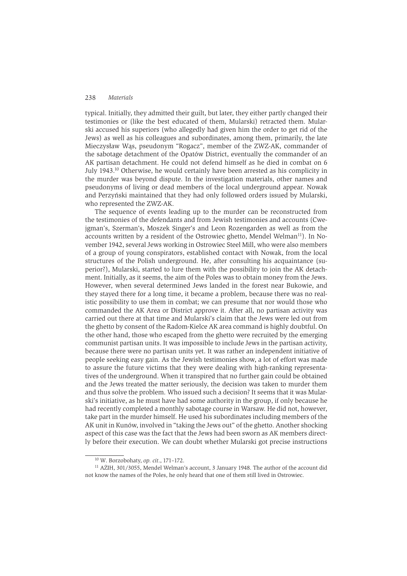typical. Initially, they admitted their guilt, but later, they either partly changed their testimonies or (like the best educated of them, Mularski) retracted them. Mularski accused his superiors (who allegedly had given him the order to get rid of the Jews) as well as his colleagues and subordinates, among them, primarily, the late Mieczysław Wąs, pseudonym "Rogacz", member of the ZWZ-AK, commander of the sabotage detachment of the Opatów District, eventually the commander of an AK partisan detachment. He could not defend himself as he died in combat on 6 July 1943.<sup>10</sup> Otherwise, he would certainly have been arrested as his complicity in the murder was beyond dispute. In the investigation materials, other names and pseudonyms of living or dead members of the local underground appear. Nowak and Perzyński maintained that they had only followed orders issued by Mularski, who represented the ZWZ-AK.

The sequence of events leading up to the murder can be reconstructed from the testimonies of the defendants and from Jewish testimonies and accounts (Cwejgman's, Szerman's, Moszek Singer's and Leon Rozengarden as well as from the accounts written by a resident of the Ostrowiec ghetto, Mendel Welman<sup>11</sup>). In November 1942, several Jews working in Ostrowiec Steel Mill, who were also members of a group of young conspirators, established contact with Nowak, from the local structures of the Polish underground. He, after consulting his acquaintance (superior?), Mularski, started to lure them with the possibility to join the AK detachment. Initially, as it seems, the aim of the Poles was to obtain money from the Jews. However, when several determined Jews landed in the forest near Bukowie, and they stayed there for a long time, it became a problem, because there was no realistic possibility to use them in combat; we can presume that nor would those who commanded the AK Area or District approve it. After all, no partisan activity was carried out there at that time and Mularski's claim that the Jews were led out from the ghetto by consent of the Radom-Kielce AK area command is highly doubtful. On the other hand, those who escaped from the ghetto were recruited by the emerging communist partisan units. It was impossible to include Jews in the partisan activity, because there were no partisan units vet. It was rather an independent initiative of people seeking easy gain. As the Jewish testimonies show, a lot of effort was made to assure the future victims that they were dealing with high-ranking representatives of the underground. When it transpired that no further gain could be obtained and the Jews treated the matter seriously, the decision was taken to murder them and thus solve the problem. Who issued such a decision? It seems that it was Mularski's initiative, as he must have had some authority in the group, if only because he had recently completed a monthly sabotage course in Warsaw. He did not, however, take part in the murder himself. He used his subordinates including members of the AK unit in Kunów, involved in "taking the Jews out" of the ghetto. Another shocking aspect of this case was the fact that the Jews had been sworn as AK members directly before their execution. We can doubt whether Mularski got precise instructions

<sup>&</sup>lt;sup>10</sup> W. Borzobohaty, op. cit., 171-172.

<sup>&</sup>lt;sup>11</sup> AŻIH, 301/3055, Mendel Welman's account, 3 January 1948. The author of the account did not know the names of the Poles, he only heard that one of them still lived in Ostrowiec.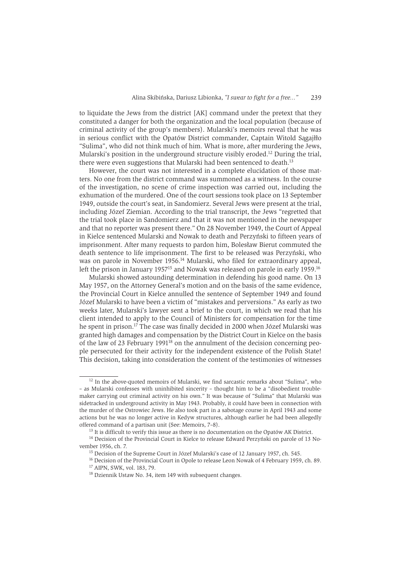to liquidate the Jews from the district [AK] command under the pretext that they constituted a danger for both the organization and the local population (because of criminal activity of the group's members). Mularski's memoirs reveal that he was in serious conflict with the Opatów District commander, Captain Witold Sagaiłło "Sulima", who did not think much of him. What is more, after murdering the Jews, Mularski's position in the underground structure visibly eroded.<sup>12</sup> During the trial, there were even suggestions that Mularski had been sentenced to death.<sup>13</sup>

However, the court was not interested in a complete elucidation of those matters. No one from the district command was summoned as a witness. In the course of the investigation, no scene of crime inspection was carried out, including the exhumation of the murdered. One of the court sessions took place on 13 September 1949, outside the court's seat, in Sandomierz, Several Jews were present at the trial. including Józef Ziemian. According to the trial transcript, the Jews "regretted that the trial took place in Sandomierz and that it was not mentioned in the newspaper and that no reporter was present there." On 28 November 1949, the Court of Appeal in Kielce sentenced Mularski and Nowak to death and Perzyński to fifteen years of imprisonment. After many requests to pardon him, Bolesław Bierut commuted the death sentence to life imprisonment. The first to be released was Perzyński, who was on parole in November 1956.<sup>14</sup> Mularski, who filed for extraordinary appeal. left the prison in January 1957<sup>15</sup> and Nowak was released on parole in early 1959.<sup>16</sup>

Mularski showed astounding determination in defending his good name. On 13 May 1957, on the Attorney General's motion and on the basis of the same evidence. the Provincial Court in Kielce annulled the sentence of September 1949 and found Józef Mularski to have been a victim of "mistakes and perversions." As early as two weeks later, Mularski's lawyer sent a brief to the court, in which we read that his client intended to apply to the Council of Ministers for compensation for the time he spent in prison.<sup>17</sup> The case was finally decided in 2000 when Józef Mularski was granted high damages and compensation by the District Court in Kielce on the basis of the law of 23 February 1991<sup>18</sup> on the annulment of the decision concerning people persecuted for their activity for the independent existence of the Polish State! This decision, taking into consideration the content of the testimonies of witnesses

<sup>&</sup>lt;sup>12</sup> In the above-quoted memoirs of Mularski, we find sarcastic remarks about "Sulima", who - as Mularski confesses with uninhibited sincerity - thought him to be a "disobedient troublemaker carrying out criminal activity on his own." It was because of "Sulima" that Mularski was sidetracked in underground activity in May 1943. Probably, it could have been in connection with the murder of the Ostrowiec Jews. He also took part in a sabotage course in April 1943 and some actions but he was no longer active in Kedyw structures, although earlier he had been allegedly offered command of a partisan unit (See: Memoirs, 7-8).

<sup>&</sup>lt;sup>13</sup> It is difficult to verify this issue as there is no documentation on the Opatów AK District.

<sup>&</sup>lt;sup>14</sup> Decision of the Provincial Court in Kielce to release Edward Perzyński on parole of 13 November 1956, ch. 7.

<sup>&</sup>lt;sup>15</sup> Decision of the Supreme Court in Józef Mularski's case of 12 January 1957, ch. 545.

<sup>&</sup>lt;sup>16</sup> Decision of the Provincial Court in Opole to release Leon Nowak of 4 February 1959, ch. 89.

<sup>&</sup>lt;sup>17</sup> AIPN, SWK, vol. 183, 79.

<sup>&</sup>lt;sup>18</sup> Dziennik Ustaw No. 34, item 149 with subsequent changes.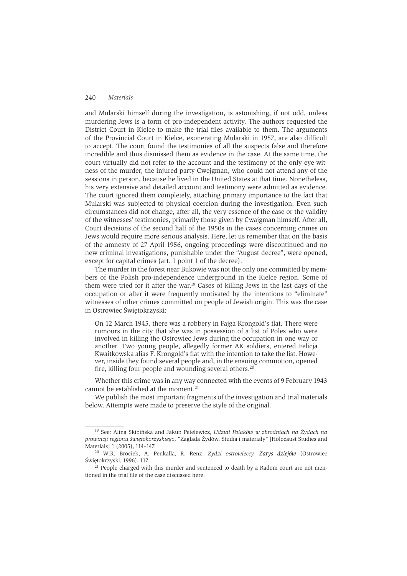and Mularski himself during the investigation, is astonishing, if not odd, unless murdering Jews is a form of pro-independent activity. The authors requested the District Court in Kielce to make the trial files available to them. The arguments of the Provincial Court in Kielce, exonerating Mularski in 1957, are also difficult to accept. The court found the testimonies of all the suspects false and therefore incredible and thus dismissed them as evidence in the case. At the same time, the court virtually did not refer to the account and the testimony of the only eve-witness of the murder, the injured party Cweigman, who could not attend any of the sessions in person, because he lived in the United States at that time. Nonetheless, his very extensive and detailed account and testimony were admitted as evidence. The court ignored them completely, attaching primary importance to the fact that Mularski was subjected to physical coercion during the investigation. Even such circumstances did not change, after all, the very essence of the case or the validity of the witnesses' testimonies, primarily those given by Cwaigman himself. After all, Court decisions of the second half of the 1950s in the cases concerning crimes on Jews would require more serious analysis. Here, let us remember that on the basis of the amnesty of 27 April 1956, ongoing proceedings were discontinued and no new criminal investigations, punishable under the "August decree", were opened, except for capital crimes (art. 1 point 1 of the decree).

The murder in the forest near Bukowie was not the only one committed by members of the Polish pro-independence underground in the Kielce region. Some of them were tried for it after the war.<sup>19</sup> Cases of killing Jews in the last days of the occupation or after it were frequently motivated by the intentions to "eliminate" witnesses of other crimes committed on people of Jewish origin. This was the case in Ostrowiec Świętokrzyski:

On 12 March 1945, there was a robbery in Fajga Krongold's flat. There were rumours in the city that she was in possession of a list of Poles who were involved in killing the Ostrowiec Jews during the occupation in one way or another. Two young people, allegedly former AK soldiers, entered Felicja Kwaitkowska alias F. Krongold's flat with the intention to take the list. However, inside they found several people and, in the ensuing commotion, opened fire, killing four people and wounding several others.<sup>20</sup>

Whether this crime was in any way connected with the events of 9 February 1943 cannot be established at the moment.<sup>21</sup>

We publish the most important fragments of the investigation and trial materials below. Attempts were made to preserve the style of the original.

<sup>&</sup>lt;sup>19</sup> See: Alina Skibińska and Jakub Petelewicz, Udział Polaków w zbrodniach na Żydach na prowincji regionu świetokorzyskiego, "Zagłada Żydów. Studia i materiały" [Holocaust Studies and Materials] 1 (2005), 114-147.

<sup>&</sup>lt;sup>20</sup> W.R. Brociek, A. Penkalla, R. Renz, Żydzi ostrowieccy. Zarys dziejów (Ostrowiec Świętokrzyski, 1996), 117.

<sup>&</sup>lt;sup>21</sup> People charged with this murder and sentenced to death by a Radom court are not mentioned in the trial file of the case discussed here.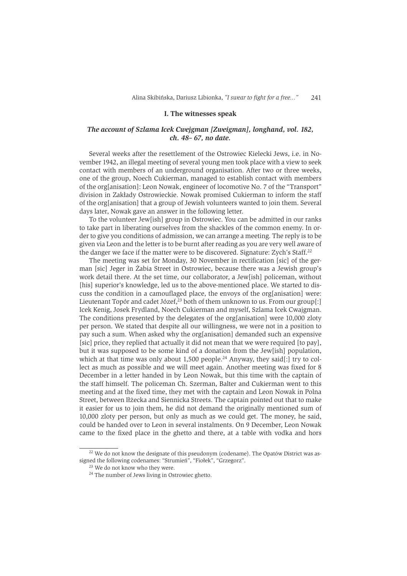#### I. The witnesses speak

### The account of Szlama Icek Cwejgman [Zweigman], longhand, vol. 182, ch. 48-67, no date.

Several weeks after the resettlement of the Ostrowiec Kielecki Jews, i.e. in November 1942, an illegal meeting of several young men took place with a view to seek contact with members of an underground organisation. After two or three weeks, one of the group, Noech Cukierman, managed to establish contact with members of the org[anisation]: Leon Nowak, engineer of locomotive No. 7 of the "Transport" division in Zakłady Ostrowieckie. Nowak promised Cukierman to inform the staff of the org[anisation] that a group of Jewish volunteers wanted to join them. Several days later, Nowak gave an answer in the following letter.

To the volunteer Jew[ish] group in Ostrowiec. You can be admitted in our ranks to take part in liberating ourselves from the shackles of the common enemy. In order to give you conditions of admission, we can arrange a meeting. The reply is to be given via Leon and the letter is to be burnt after reading as you are very well aware of the danger we face if the matter were to be discovered. Signature: Zych's Staff.<sup>22</sup>

The meeting was set for Monday, 30 November in rectification [sic] of the german [sic] Jeger in Żabia Street in Ostrowiec, because there was a Jewish group's work detail there. At the set time, our collaborator, a Jew[ish] policeman, without [his] superior's knowledge, led us to the above-mentioned place. We started to discuss the condition in a camouflaged place, the envoys of the org[anisation] were: Lieutenant Topór and cadet Józef,  $23$  both of them unknown to us. From our group[:] Icek Kenig, Josek Frydland, Noech Cukierman and myself, Szlama Icek Cwajgman. The conditions presented by the delegates of the org[anisation] were 10,000 zloty per person. We stated that despite all our willingness, we were not in a position to pay such a sum. When asked why the org[anisation] demanded such an expensive [sic] price, they replied that actually it did not mean that we were required [to pay], but it was supposed to be some kind of a donation from the Jew[ish] population, which at that time was only about 1,500 people.<sup>24</sup> Anyway, they said[:] try to collect as much as possible and we will meet again. Another meeting was fixed for 8 December in a letter handed in by Leon Nowak, but this time with the captain of the staff himself. The policeman Ch. Szerman, Balter and Cukierman went to this meeting and at the fixed time, they met with the captain and Leon Nowak in Polna Street, between Iłżecka and Siennicka Streets. The captain pointed out that to make it easier for us to join them, he did not demand the originally mentioned sum of 10,000 zloty per person, but only as much as we could get. The money, he said, could be handed over to Leon in several instalments. On 9 December, Leon Nowak came to the fixed place in the ghetto and there, at a table with vodka and hors

<sup>&</sup>lt;sup>22</sup> We do not know the designate of this pseudonym (codename). The Opatów District was assigned the following codenames: "Strumień", "Fiołek", "Grzegorz".

<sup>&</sup>lt;sup>23</sup> We do not know who they were.

<sup>&</sup>lt;sup>24</sup> The number of Jews living in Ostrowiec ghetto.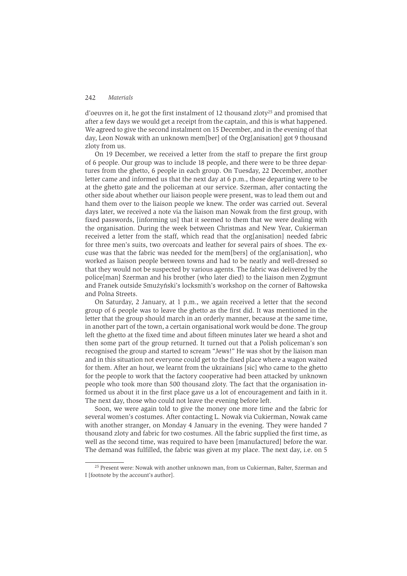d'oeuvres on it, he got the first instalment of 12 thousand zlotv<sup>25</sup> and promised that after a few days we would get a receipt from the captain, and this is what happened. We agreed to give the second instalment on 15 December, and in the evening of that day, Leon Nowak with an unknown mem[ber] of the Org[anisation] got 9 thousand zloty from us.

On 19 December, we received a letter from the staff to prepare the first group of 6 people. Our group was to include 18 people, and there were to be three departures from the ghetto, 6 people in each group. On Tuesday, 22 December, another letter came and informed us that the next day at  $6 \text{ p.m.}$ , those departing were to be at the ghetto gate and the policeman at our service. Szerman, after contacting the other side about whether our liaison people were present, was to lead them out and hand them over to the liaison people we knew. The order was carried out. Several days later, we received a note via the liaison man Nowak from the first group, with fixed passwords, [informing us] that it seemed to them that we were dealing with the organisation. During the week between Christmas and New Year, Cukierman received a letter from the staff, which read that the orglanisationl needed fabric for three men's suits, two overcoats and leather for several pairs of shoes. The excuse was that the fabric was needed for the members of the orglanisation, who worked as liaison people between towns and had to be neatly and well-dressed so that they would not be suspected by various agents. The fabric was delivered by the police[man] Szerman and his brother (who later died) to the liaison men Zygmunt and Franek outside Smużyński's locksmith's workshop on the corner of Bałtowska and Polna Streets.

On Saturday, 2 January, at 1 p.m., we again received a letter that the second group of 6 people was to leave the ghetto as the first did. It was mentioned in the letter that the group should march in an orderly manner, because at the same time, in another part of the town, a certain organisational work would be done. The group left the ghetto at the fixed time and about fifteen minutes later we heard a shot and then some part of the group returned. It turned out that a Polish policeman's son recognised the group and started to scream "Jews!" He was shot by the liaison man and in this situation not everyone could get to the fixed place where a wagon waited for them. After an hour, we learnt from the ukrainians [sic] who came to the ghetto for the people to work that the factory cooperative had been attacked by unknown people who took more than 500 thousand zloty. The fact that the organisation informed us about it in the first place gave us a lot of encouragement and faith in it. The next day, those who could not leave the evening before left.

Soon, we were again told to give the money one more time and the fabric for several women's costumes. After contacting L. Nowak via Cukierman, Nowak came with another stranger, on Monday 4 January in the evening. They were handed 7 thousand zloty and fabric for two costumes. All the fabric supplied the first time, as well as the second time, was required to have been [manufactured] before the war. The demand was fulfilled, the fabric was given at my place. The next day, i.e. on 5

<sup>&</sup>lt;sup>25</sup> Present were: Nowak with another unknown man, from us Cukierman, Balter, Szerman and I [footnote by the account's author].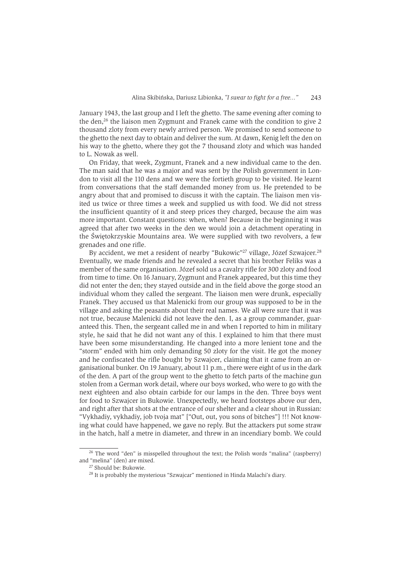January 1943, the last group and I left the ghetto. The same evening after coming to the den.<sup>26</sup> the liaison men Zygmunt and Franek came with the condition to give 2 thousand zloty from every newly arrived person. We promised to send someone to the ghetto the next day to obtain and deliver the sum. At dawn, Kenig left the den on his way to the ghetto, where they got the 7 thousand zloty and which was handed to L. Nowak as well.

On Friday, that week, Zvgmunt, Franek and a new individual came to the den. The man said that he was a major and was sent by the Polish government in London to visit all the 110 dens and we were the fortieth group to be visited. He learnt from conversations that the staff demanded money from us. He pretended to be angry about that and promised to discuss it with the captain. The liaison men visited us twice or three times a week and supplied us with food. We did not stress the insufficient quantity of it and steep prices they charged, because the aim was more important. Constant questions: when, when? Because in the beginning it was agreed that after two weeks in the den we would join a detachment operating in the Świetokrzyskie Mountains area. We were supplied with two revolvers, a few grenades and one rifle.

By accident, we met a resident of nearby "Bukowic"<sup>27</sup> village, Józef Szwaicer.<sup>28</sup> Eventually, we made friends and he revealed a secret that his brother Feliks was a member of the same organisation. Józef sold us a cavalry rifle for 300 zloty and food from time to time. On 16 January, Zygmunt and Franek appeared, but this time they did not enter the den; they stayed outside and in the field above the gorge stood an individual whom they called the sergeant. The liaison men were drunk, especially Franek. They accused us that Malenicki from our group was supposed to be in the village and asking the peasants about their real names. We all were sure that it was not true, because Malenicki did not leave the den. I, as a group commander, guaranteed this. Then, the sergeant called me in and when I reported to him in military style, he said that he did not want any of this. I explained to him that there must have been some misunderstanding. He changed into a more lenient tone and the "storm" ended with him only demanding 50 zloty for the visit. He got the money and he confiscated the rifle bought by Szwaicer, claiming that it came from an organisational bunker. On 19 January, about 11 p.m., there were eight of us in the dark of the den. A part of the group went to the ghetto to fetch parts of the machine gun stolen from a German work detail, where our boys worked, who were to go with the next eighteen and also obtain carbide for our lamps in the den. Three boys went for food to Szwajcer in Bukowie. Unexpectedly, we heard footsteps above our den, and right after that shots at the entrance of our shelter and a clear shout in Russian: "Vykhadiy, vykhadiy, job tvoja mat" ["Out, out, you sons of bitches"] !!! Not knowing what could have happened, we gave no reply. But the attackers put some straw in the hatch, half a metre in diameter, and threw in an incendiary bomb. We could

<sup>&</sup>lt;sup>26</sup> The word "den" is misspelled throughout the text; the Polish words "malina" (raspberry) and "melina" (den) are mixed.

<sup>&</sup>lt;sup>27</sup> Should be: Bukowie.

<sup>&</sup>lt;sup>28</sup> It is probably the mysterious "Szwajcar" mentioned in Hinda Malachi's diary.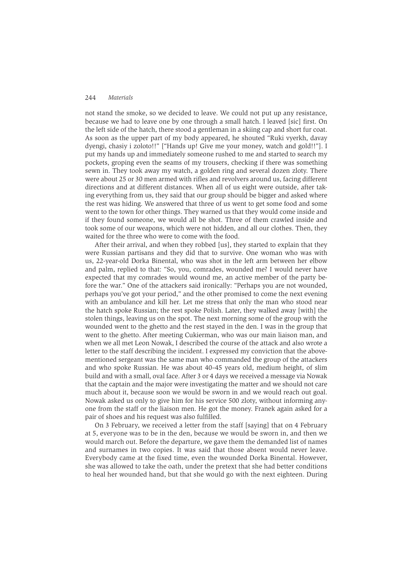not stand the smoke, so we decided to leave. We could not put up any resistance. because we had to leave one by one through a small hatch. I leaved [sic] first. On the left side of the hatch, there stood a gentleman in a skiing cap and short fur coat. As soon as the upper part of my body appeared, he shouted "Ruki vyerkh, davay dyengi, chasiy i zoloto!!" ["Hands up! Give me your money, watch and gold!!"]. I put my hands up and immediately someone rushed to me and started to search my pockets, groping even the seams of my trousers, checking if there was something sewn in. They took away my watch, a golden ring and several dozen zloty. There were about 25 or 30 men armed with rifles and revolvers around us, facing different directions and at different distances. When all of us eight were outside, after taking everything from us, they said that our group should be bigger and asked where the rest was hiding. We answered that three of us went to get some food and some went to the town for other things. They warned us that they would come inside and if they found someone, we would all be shot. Three of them crawled inside and took some of our weapons, which were not hidden, and all our clothes. Then, they waited for the three who were to come with the food.

After their arrival, and when they robbed [us], they started to explain that they were Russian partisans and they did that to survive. One woman who was with us, 22-year-old Dorka Binental, who was shot in the left arm between her elbow and palm, replied to that: "So, you, comrades, wounded me? I would never have expected that my comrades would wound me, an active member of the party before the war." One of the attackers said ironically: "Perhaps you are not wounded, perhaps you've got your period," and the other promised to come the next evening with an ambulance and kill her. Let me stress that only the man who stood near the hatch spoke Russian; the rest spoke Polish. Later, they walked away [with] the stolen things, leaving us on the spot. The next morning some of the group with the wounded went to the ghetto and the rest stayed in the den. I was in the group that went to the ghetto. After meeting Cukierman, who was our main liaison man, and when we all met Leon Nowak, I described the course of the attack and also wrote a letter to the staff describing the incident. I expressed my conviction that the abovementioned sergeant was the same man who commanded the group of the attackers and who spoke Russian. He was about 40-45 years old, medium height, of slim build and with a small, oval face. After 3 or 4 days we received a message via Nowak that the captain and the major were investigating the matter and we should not care much about it, because soon we would be sworn in and we would reach out goal. Nowak asked us only to give him for his service 500 zloty, without informing anyone from the staff or the liaison men. He got the money. Franek again asked for a pair of shoes and his request was also fulfilled.

On 3 February, we received a letter from the staff [saying] that on 4 February at 5, everyone was to be in the den, because we would be sworn in, and then we would march out. Before the departure, we gave them the demanded list of names and surnames in two copies. It was said that those absent would never leave. Everybody came at the fixed time, even the wounded Dorka Binental. However, she was allowed to take the oath, under the pretext that she had better conditions to heal her wounded hand, but that she would go with the next eighteen. During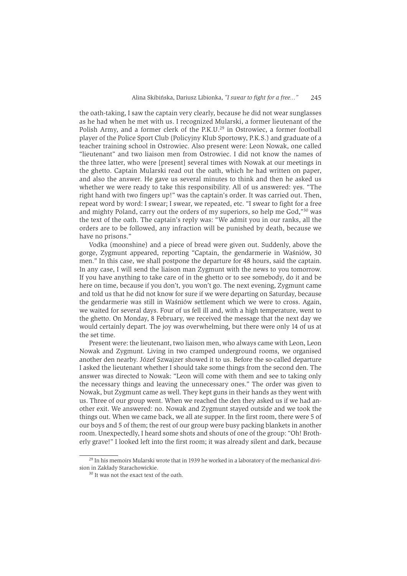the oath-taking. I saw the captain very clearly, because he did not wear sunglasses as he had when he met with us. I recognized Mularski, a former lieutenant of the Polish Army, and a former clerk of the P.K.U.<sup>29</sup> in Ostrowiec, a former football player of the Police Sport Club (Policyjny Klub Sportowy, P.K.S.) and graduate of a teacher training school in Ostrowiec. Also present were: Leon Nowak, one called "lieutenant" and two liaison men from Ostrowiec. I did not know the names of the three latter, who were [present] several times with Nowak at our meetings in the ghetto. Captain Mularski read out the oath, which he had written on paper. and also the answer. He gave us several minutes to think and then he asked us whether we were ready to take this responsibility. All of us answered: yes. "The right hand with two fingers up!" was the captain's order. It was carried out. Then, repeat word by word: I swear: I swear, we repeated, etc. "I swear to fight for a free and mighty Poland, carry out the orders of my superiors, so help me God,"30 was the text of the oath. The captain's reply was: "We admit you in our ranks, all the orders are to be followed, any infraction will be punished by death, because we have no prisons."

Vodka (moonshine) and a piece of bread were given out. Suddenly, above the gorge, Zygmunt appeared, reporting "Captain, the gendarmerie in Waśniów, 30 men." In this case, we shall postpone the departure for 48 hours, said the captain. In any case, I will send the liaison man Zygmunt with the news to you tomorrow. If you have anything to take care of in the ghetto or to see somebody, do it and be here on time, because if you don't, you won't go. The next evening, Zygmunt came and told us that he did not know for sure if we were departing on Saturday, because the gendarmerie was still in Waśniów settlement which we were to cross. Again, we waited for several days. Four of us fell ill and, with a high temperature, went to the ghetto. On Monday, 8 February, we received the message that the next day we would certainly depart. The joy was overwhelming, but there were only 14 of us at the set time

Present were: the lieutenant, two liaison men, who always came with Leon, Leon Nowak and Zygmunt. Living in two cramped underground rooms, we organised another den nearby. Józef Szwaizer showed it to us. Before the so-called departure I asked the lieutenant whether I should take some things from the second den. The answer was directed to Nowak: "Leon will come with them and see to taking only the necessary things and leaving the unnecessary ones." The order was given to Nowak, but Zygmunt came as well. They kept guns in their hands as they went with us. Three of our group went. When we reached the den they asked us if we had another exit. We answered: no. Nowak and Zygmunt stayed outside and we took the things out. When we came back, we all ate supper. In the first room, there were 5 of our boys and 5 of them; the rest of our group were busy packing blankets in another room. Unexpectedly, I heard some shots and shouts of one of the group: "Oh! Brotherly grave!" I looked left into the first room; it was already silent and dark, because

<sup>&</sup>lt;sup>29</sup> In his memoirs Mularski wrote that in 1939 he worked in a laboratory of the mechanical division in Zakłady Starachowickie.

<sup>&</sup>lt;sup>30</sup> It was not the exact text of the oath.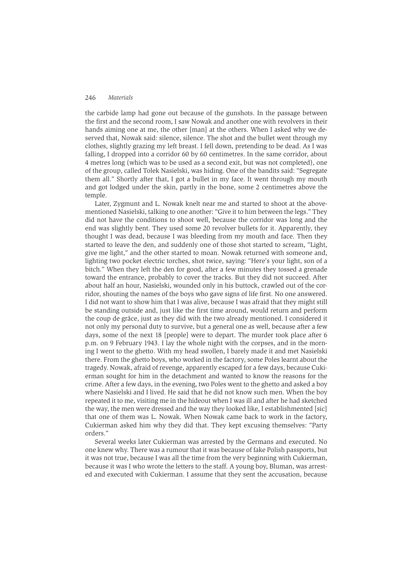the carbide lamp had gone out because of the gunshots. In the passage between the first and the second room, I saw Nowak and another one with revolvers in their hands aiming one at me, the other [man] at the others. When I asked why we deserved that, Nowak said: silence, silence. The shot and the bullet went through my clothes, slightly grazing my left breast. I fell down, pretending to be dead. As I was falling, I dropped into a corridor 60 by 60 centimetres. In the same corridor, about 4 metres long (which was to be used as a second exit, but was not completed), one of the group, called Tolek Nasielski, was hiding. One of the bandits said: "Segregate them all." Shortly after that, I got a bullet in my face. It went through my mouth and got lodged under the skin, partly in the bone, some 2 centimetres above the temple.

Later, Zygmunt and L. Nowak knelt near me and started to shoot at the abovementioned Nasielski, talking to one another: "Give it to him between the legs." They did not have the conditions to shoot well, because the corridor was long and the end was slightly bent. They used some 20 revolver bullets for it. Apparently, they thought I was dead, because I was bleeding from my mouth and face. Then they started to leave the den, and suddenly one of those shot started to scream, "Light, give me light." and the other started to moan. Nowak returned with someone and, lighting two pocket electric torches, shot twice, saving: "Here's your light, son of a bitch." When they left the den for good, after a few minutes they tossed a grenade toward the entrance, probably to cover the tracks. But they did not succeed. After about half an hour, Nasielski, wounded only in his buttock, crawled out of the corridor, shouting the names of the boys who gave signs of life first. No one answered. I did not want to show him that I was alive, because I was afraid that they might still be standing outside and, just like the first time around, would return and perform the coup de grâce, just as they did with the two already mentioned. I considered it not only my personal duty to survive, but a general one as well, because after a few days, some of the next 18 [people] were to depart. The murder took place after 6 p.m. on 9 February 1943. I lay the whole night with the corpses, and in the morning I went to the ghetto. With my head swollen, I barely made it and met Nasielski there. From the ghetto boys, who worked in the factory, some Poles learnt about the tragedy. Nowak, afraid of revenge, apparently escaped for a few days, because Cukierman sought for him in the detachment and wanted to know the reasons for the crime. After a few days, in the evening, two Poles went to the ghetto and asked a boy where Nasielski and I lived. He said that he did not know such men. When the boy repeated it to me, visiting me in the hideout when I was ill and after he had sketched the way, the men were dressed and the way they looked like. I establishmented [sic] that one of them was L. Nowak. When Nowak came back to work in the factory, Cukierman asked him why they did that. They kept excusing themselves: "Party orders."

Several weeks later Cukierman was arrested by the Germans and executed. No one knew why. There was a rumour that it was because of fake Polish passports, but it was not true, because I was all the time from the very beginning with Cukierman, because it was I who wrote the letters to the staff. A young boy, Bluman, was arrested and executed with Cukierman. I assume that they sent the accusation, because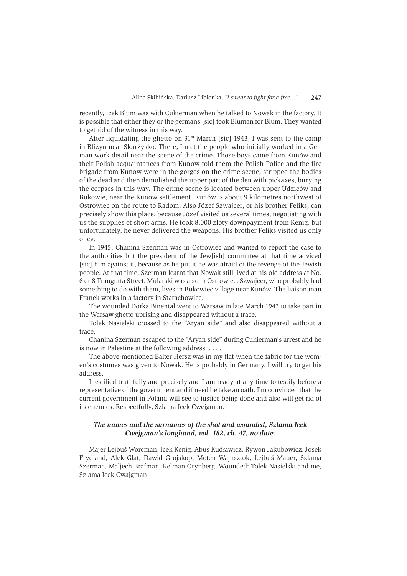recently. Icek Blum was with Cukierman when he talked to Nowak in the factory. It is possible that either they or the germans [sic] took Bluman for Blum. They wanted to get rid of the witness in this way.

After liquidating the ghetto on 31<sup>st</sup> March [sic] 1943, I was sent to the camp in Bliżyn near Skarżysko. There, I met the people who initially worked in a German work detail near the scene of the crime. Those boys came from Kunów and their Polish acquaintances from Kunów told them the Polish Police and the fire brigade from Kunów were in the gorges on the crime scene, stripped the bodies of the dead and then demolished the upper part of the den with pickaxes, burying the corpses in this way. The crime scene is located between upper Udziców and Bukowie, near the Kunów settlement. Kunów is about 9 kilometres northwest of Ostrowiec on the route to Radom. Also Józef Szwaicer, or his brother Feliks, can precisely show this place, because Józef visited us several times, negotiating with us the supplies of short arms. He took 8,000 zloty downpayment from Kenig, but unfortunately, he never delivered the weapons. His brother Feliks visited us only once.

In 1945, Chanina Szerman was in Ostrowiec and wanted to report the case to the authorities but the president of the Jew[ish] committee at that time adviced [sic] him against it, because as he put it he was afraid of the revenge of the Jewish people. At that time, Szerman learnt that Nowak still lived at his old address at No. 6 or 8 Traugutta Street. Mularski was also in Ostrowiec. Szwajcer, who probably had something to do with them, lives in Bukowiec village near Kunów. The liaison man Franek works in a factory in Starachowice.

The wounded Dorka Binental went to Warsaw in late March 1943 to take part in the Warsaw ghetto uprising and disappeared without a trace.

Tolek Nasielski crossed to the "Aryan side" and also disappeared without a trace.

Chanina Szerman escaped to the "Aryan side" during Cukierman's arrest and he is now in Palestine at the following address: ....

The above-mentioned Balter Hersz was in my flat when the fabric for the women's costumes was given to Nowak. He is probably in Germany. I will try to get his address.

I testified truthfully and precisely and I am ready at any time to testify before a representative of the government and if need be take an oath. I'm convinced that the current government in Poland will see to justice being done and also will get rid of its enemies. Respectfully, Szlama Icek Cweigman.

### The names and the surnames of the shot and wounded, Szlama Icek Cwejgman's longhand, vol. 182, ch. 47, no date.

Majer Lejbuś Worcman, Icek Kenig, Abus Kudławicz, Rywon Jakubowicz, Josek Frydland, Alek Glat, Dawid Grojskop, Moten Wajnsztok, Lejbuś Mauer, Szlama Szerman, Maljech Brafman, Kelman Grynberg. Wounded: Tolek Nasielski and me, Szlama Icek Cwajgman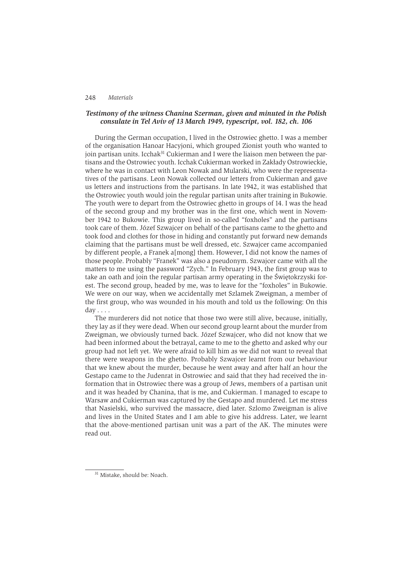### Testimony of the witness Chanina Szerman, given and minuted in the Polish consulate in Tel Aviv of 13 March 1949, typescript, vol. 182, ch. 106

During the German occupation, I lived in the Ostrowiec ghetto. I was a member of the organisation Hanoar Hacyjoni, which grouped Zionist youth who wanted to join partisan units. Icchak<sup>31</sup> Cukierman and I were the liaison men between the partisans and the Ostrowiec youth. Icchak Cukierman worked in Zakłady Ostrowieckie, where he was in contact with Leon Nowak and Mularski, who were the representatives of the partisans. Leon Nowak collected our letters from Cukierman and gave us letters and instructions from the partisans. In late 1942, it was established that the Ostrowiec youth would join the regular partisan units after training in Bukowie. The youth were to depart from the Ostrowiec ghetto in groups of 14. I was the head of the second group and my brother was in the first one, which went in November 1942 to Bukowie. This group lived in so-called "foxholes" and the partisans took care of them. Józef Szwajcer on behalf of the partisans came to the ghetto and took food and clothes for those in hiding and constantly put forward new demands claiming that the partisans must be well dressed, etc. Szwaicer came accompanied by different people, a Franek a [mong] them. However, I did not know the names of those people. Probably "Franek" was also a pseudonym. Szwajcer came with all the matters to me using the password "Zych." In February 1943, the first group was to take an oath and join the regular partisan army operating in the Świętokrzyski forest. The second group, headed by me, was to leave for the "foxholes" in Bukowie. We were on our way, when we accidentally met Szlamek Zweigman, a member of the first group, who was wounded in his mouth and told us the following: On this  $day \ldots$ 

The murderers did not notice that those two were still alive, because, initially, they lay as if they were dead. When our second group learnt about the murder from Zweigman, we obviously turned back. Józef Szwajcer, who did not know that we had been informed about the betrayal, came to me to the ghetto and asked why our group had not left yet. We were afraid to kill him as we did not want to reveal that there were weapons in the ghetto. Probably Szwajcer learnt from our behaviour that we knew about the murder, because he went away and after half an hour the Gestapo came to the Judenrat in Ostrowiec and said that they had received the information that in Ostrowiec there was a group of Jews, members of a partisan unit and it was headed by Chanina, that is me, and Cukierman. I managed to escape to Warsaw and Cukierman was captured by the Gestapo and murdered. Let me stress that Nasielski, who survived the massacre, died later. Szlomo Zweigman is alive and lives in the United States and I am able to give his address. Later, we learnt that the above-mentioned partisan unit was a part of the AK. The minutes were read out.

<sup>&</sup>lt;sup>31</sup> Mistake, should be: Noach.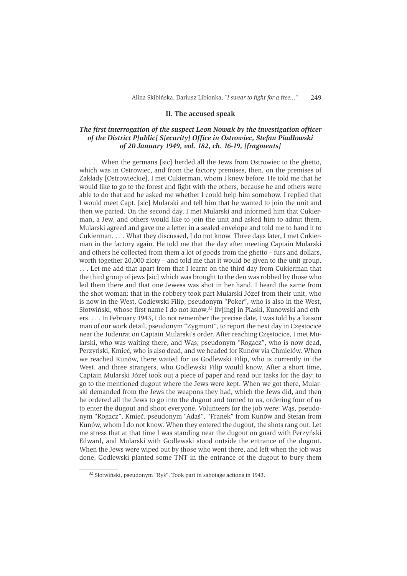#### II. The accused speak

## The first interrogation of the suspect Leon Nowak by the investigation officer of the District P[ublic] S[ecurity] Office in Ostrowiec, Stefan Piadłowski of 20 January 1949, vol. 182, ch. 16-19, [fragments]

... When the germans [sic] herded all the Jews from Ostrowiec to the ghetto. which was in Ostrowiec, and from the factory premises, then, on the premises of Zakłady [Ostrowieckie], I met Cukierman, whom I knew before. He told me that he would like to go to the forest and fight with the others, because he and others were able to do that and he asked me whether I could help him somehow. I replied that I would meet Capt. [sic] Mularski and tell him that he wanted to join the unit and then we parted. On the second day, I met Mularski and informed him that Cukierman, a Jew, and others would like to join the unit and asked him to admit them. Mularski agreed and gave me a letter in a sealed envelope and told me to hand it to Cukierman. . . . What they discussed, I do not know. Three days later, I met Cukierman in the factory again. He told me that the day after meeting Captain Mularski and others he collected from them a lot of goods from the ghetto – furs and dollars. worth together 20,000 zloty – and told me that it would be given to the unit group. ... Let me add that apart from that I learnt on the third day from Cukierman that the third group of jews [sic] which was brought to the den was robbed by those who led them there and that one Jewess was shot in her hand. I heard the same from the shot woman: that in the robbery took part Mularski Józef from their unit, who is now in the West, Godlewski Filip, pseudonym "Poker", who is also in the West, Słotwiński, whose first name I do not know,<sup>32</sup> liv[ing] in Piaski, Kunowski and others.... In February 1943, I do not remember the precise date, I was told by a liaison man of our work detail, pseudonym "Zygmunt", to report the next day in Częstocice near the Judenrat on Captain Mularski's order. After reaching Częstocice, I met Mularski, who was waiting there, and Was, pseudonym "Rogacz", who is now dead, Perzyński, Kmieć, who is also dead, and we headed for Kunów via Chmielów. When we reached Kunów, there waited for us Godlewski Filip, who is currently in the West, and three strangers, who Godlewski Filip would know. After a short time, Captain Mularski Józef took out a piece of paper and read our tasks for the day: to go to the mentioned dugout where the Jews were kept. When we got there, Mularski demanded from the Jews the weapons they had, which the Jews did, and then he ordered all the Jews to go into the dugout and turned to us, ordering four of us to enter the dugout and shoot everyone. Volunteers for the job were: Was, pseudonym "Rogacz", Kmieć, pseudonym "Adaś", "Franek" from Kunów and Stefan from Kunów, whom I do not know. When they entered the dugout, the shots rang out. Let me stress that at that time I was standing near the dugout on guard with Perzyński Edward, and Mularski with Godlewski stood outside the entrance of the dugout. When the Jews were wiped out by those who went there, and left when the job was done, Godlewski planted some TNT in the entrance of the dugout to bury them

<sup>&</sup>lt;sup>32</sup> Słotwiński, pseudonym "Ryś". Took part in sabotage actions in 1943.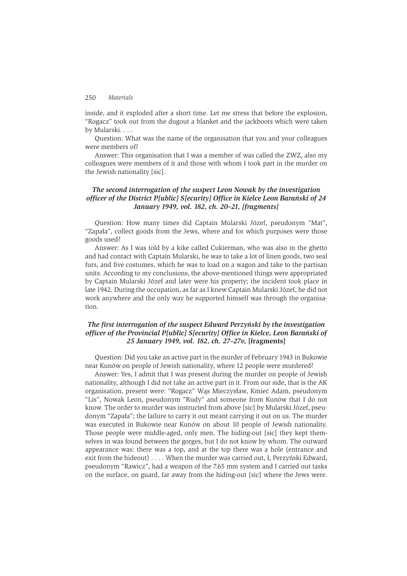inside, and it exploded after a short time. Let me stress that before the explosion, "Rogacz" took out from the dugout a blanket and the jackboots which were taken by Mularski. . . .

Question: What was the name of the organisation that you and your colleagues were members of?

Answer: This organisation that I was a member of was called the ZWZ, also my colleagues were members of it and those with whom I took part in the murder on the Jewish nationality [sic].

### The second interrogation of the suspect Leon Nowak by the investigation officer of the District P[ublic] S[ecurity] Office in Kielce Leon Barański of 24 January 1949, vol. 182, ch. 20-21, [fragments]

Question: How many times did Captain Mularski Józef, pseudonym "Mat", "Zapała", collect goods from the Jews, where and for which purposes were those goods used?

Answer: As I was told by a kike called Cukierman, who was also in the ghetto and had contact with Captain Mularski, he was to take a lot of linen goods, two seal furs, and five costumes, which he was to load on a wagon and take to the partisan units. According to my conclusions, the above-mentioned things were appropriated by Captain Mularski Józef and later were his property; the incident took place in late 1942. During the occupation, as far as I knew Captain Mularski Józef, he did not work anywhere and the only way he supported himself was through the organisation.

### The first interrogation of the suspect Edward Perzyński by the investigation officer of the Provincial P[ublic] S[ecurity] Office in Kielce, Leon Barański of 25 January 1949, vol. 182, ch. 27-27v, [fragments]

Ouestion: Did you take an active part in the murder of February 1943 in Bukowie near Kunów on people of Jewish nationality, where 12 people were murdered?

Answer: Yes, I admit that I was present during the murder on people of Jewish nationality, although I did not take an active part in it. From our side, that is the AK organisation, present were: "Rogacz" Wąs Mieczysław, Kmieć Adam, pseudonym "Lis", Nowak Leon, pseudonym "Rudy" and someone from Kunów that I do not know. The order to murder was instructed from above [sic] by Mularski Józef, pseudonym "Zapała"; the failure to carry it out meant carrying it out on us. The murder was executed in Bukowie near Kunów on about 10 people of Jewish nationality. Those people were middle-aged, only men. The hiding-out [sic] they kept themselves in was found between the gorges, but I do not know by whom. The outward appearance was: there was a top, and at the top there was a hole (entrance and exit from the hideout) . . . . When the murder was carried out, I, Perzyński Edward, pseudonym "Rawicz", had a weapon of the 7.65 mm system and I carried out tasks on the surface, on guard, far away from the hiding-out [sic] where the Jews were.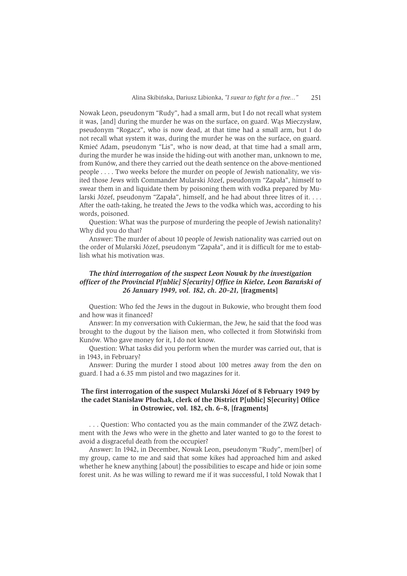Nowak Leon, pseudonym "Rudy", had a small arm, but I do not recall what system it was, [and] during the murder he was on the surface, on guard. Was Mieczysław, pseudonym "Rogacz", who is now dead, at that time had a small arm, but I do not recall what system it was, during the murder he was on the surface, on guard. Kmieć Adam, pseudonym "Lis", who is now dead, at that time had a small arm, during the murder he was inside the hiding-out with another man, unknown to me, from Kunów, and there they carried out the death sentence on the above-mentioned people .... Two weeks before the murder on people of Jewish nationality, we visited those Jews with Commander Mularski Józef, pseudonym "Zapała", himself to swear them in and liquidate them by poisoning them with vodka prepared by Mularski Józef, pseudonym "Zapała", himself, and he had about three litres of it.... After the oath-taking, he treated the Jews to the vodka which was, according to his words, poisoned.

Question: What was the purpose of murdering the people of Jewish nationality? Why did you do that?

Answer: The murder of about 10 people of Jewish nationality was carried out on the order of Mularski Józef, pseudonym "Zapała", and it is difficult for me to establish what his motivation was.

# The third interrogation of the suspect Leon Nowak by the investigation officer of the Provincial P[ublic] S[ecurity] Office in Kielce, Leon Barański of 26 January 1949, vol. 182, ch. 20-21, [fragments]

Question: Who fed the Jews in the dugout in Bukowie, who brought them food and how was it financed?

Answer: In my conversation with Cukierman, the Jew, he said that the food was brought to the dugout by the liaison men, who collected it from Słotwiński from Kunów. Who gave money for it, I do not know.

Question: What tasks did you perform when the murder was carried out, that is in 1943, in February?

Answer: During the murder I stood about 100 metres away from the den on guard. I had a 6.35 mm pistol and two magazines for it.

### The first interrogation of the suspect Mularski Józef of 8 February 1949 by the cadet Stanisław Pluchak, clerk of the District P[ublic] S[ecurity] Office in Ostrowiec, vol. 182, ch. 6-8, [fragments]

... Question: Who contacted you as the main commander of the ZWZ detachment with the Jews who were in the ghetto and later wanted to go to the forest to avoid a disgraceful death from the occupier?

Answer: In 1942, in December, Nowak Leon, pseudonym "Rudy", mem[ber] of my group, came to me and said that some kikes had approached him and asked whether he knew anything [about] the possibilities to escape and hide or join some forest unit. As he was willing to reward me if it was successful, I told Nowak that I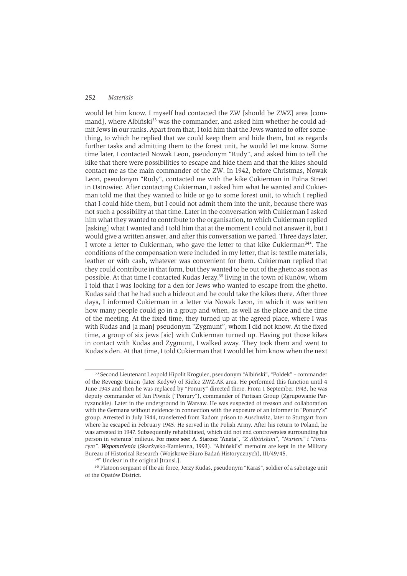would let him know. I myself had contacted the ZW [should be ZWZ] area [commandl, where Albiński<sup>33</sup> was the commander, and asked him whether he could admit Jews in our ranks. Apart from that, I told him that the Jews wanted to offer something, to which he replied that we could keep them and hide them, but as regards further tasks and admitting them to the forest unit, he would let me know. Some time later, I contacted Nowak Leon, pseudonym "Rudy", and asked him to tell the kike that there were possibilities to escape and hide them and that the kikes should contact me as the main commander of the ZW. In 1942, before Christmas, Nowak Leon, pseudonym "Rudy", contacted me with the kike Cukierman in Polna Street in Ostrowiec. After contacting Cukierman, I asked him what he wanted and Cukierman told me that they wanted to hide or go to some forest unit, to which I replied that I could hide them, but I could not admit them into the unit, because there was not such a possibility at that time. Later in the conversation with Cukierman I asked him what they wanted to contribute to the organisation, to which Cukierman replied [asking] what I wanted and I told him that at the moment I could not answer it, but I would give a written answer, and after this conversation we parted. Three days later, I wrote a letter to Cukierman, who gave the letter to that kike Cukierman<sup>34\*</sup>. The conditions of the compensation were included in my letter, that is: textile materials, leather or with cash, whatever was convenient for them. Cukierman replied that they could contribute in that form, but they wanted to be out of the ghetto as soon as possible. At that time I contacted Kudas Jerzy,<sup>35</sup> living in the town of Kunów, whom I told that I was looking for a den for Jews who wanted to escape from the ghetto. Kudas said that he had such a hideout and he could take the kikes there. After three days, I informed Cukierman in a letter via Nowak Leon, in which it was written how many people could go in a group and when, as well as the place and the time of the meeting. At the fixed time, they turned up at the agreed place, where I was with Kudas and [a man] pseudonym "Zygmunt", whom I did not know. At the fixed time, a group of six jews [sic] with Cukierman turned up. Having put those kikes in contact with Kudas and Zygmunt, I walked away. They took them and went to Kudas's den. At that time, I told Cukierman that I would let him know when the next

<sup>&</sup>lt;sup>33</sup> Second Lieutenant Leopold Hipolit Krogulec, pseudonym "Albiński", "Poldek" - commander of the Revenge Union (later Kedyw) of Kielce ZWZ-AK area. He performed this function until 4 June 1943 and then he was replaced by "Ponury" directed there. From 1 September 1943, he was deputy commander of Jan Piwnik ("Ponury"), commander of Partisan Group (Zgrupowanie Partyzanckie). Later in the underground in Warsaw. He was suspected of treason and collaboration with the Germans without evidence in connection with the exposure of an informer in "Ponury's" group. Arrested in July 1944, transferred from Radom prison to Auschwitz, later to Stuttgart from where he escaped in February 1945. He served in the Polish Army. After his return to Poland, he was arrested in 1947. Subsequently rehabilitated, which did not end controversies surrounding his person in veterans' milieus. For more see: A. Starosz "Aneta", "Z Albińskim", "Nurtem" i "Ponurym". Wspomnienia (Skarżysko-Kamienna, 1993). "Albiński's" memoirs are kept in the Military Bureau of Historical Research (Wojskowe Biuro Badań Historycznych), III/49/45.

<sup>34\*</sup> Unclear in the original [transl.].

<sup>&</sup>lt;sup>35</sup> Platoon sergeant of the air force, Jerzy Kudaś, pseudonym "Karaś", soldier of a sabotage unit of the Opatów District.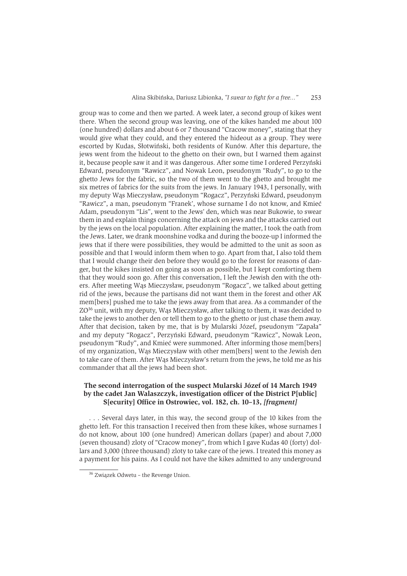group was to come and then we parted. A week later, a second group of kikes went there. When the second group was leaving, one of the kikes handed me about 100 (one hundred) dollars and about 6 or 7 thousand "Cracow money", stating that they would give what they could, and they entered the hideout as a group. They were escorted by Kudas, Słotwiński, both residents of Kunów. After this departure, the jews went from the hideout to the ghetto on their own, but I warned them against it, because people saw it and it was dangerous. After some time I ordered Perzyński Edward, pseudonym "Rawicz", and Nowak Leon, pseudonym "Rudy", to go to the ghetto Jews for the fabric, so the two of them went to the ghetto and brought me six metres of fabrics for the suits from the jews. In January 1943, I personally, with my deputy Was Mieczysław, pseudonym "Rogacz", Perzyński Edward, pseudonym "Rawicz", a man, pseudonym "Franek', whose surname I do not know, and Kmieć Adam, pseudonym "Lis", went to the Jews' den, which was near Bukowie, to swear them in and explain things concerning the attack on jews and the attacks carried out by the jews on the local population. After explaining the matter, I took the oath from the Jews. Later, we drank moonshine vodka and during the booze-up I informed the jews that if there were possibilities, they would be admitted to the unit as soon as possible and that I would inform them when to go. Apart from that, I also told them that I would change their den before they would go to the forest for reasons of danger, but the kikes insisted on going as soon as possible, but I kept comforting them that they would soon go. After this conversation, I left the Jewish den with the others. After meeting Was Mieczysław, pseudonym "Rogacz", we talked about getting rid of the jews, because the partisans did not want them in the forest and other AK mem[bers] pushed me to take the jews away from that area. As a commander of the ZO<sup>36</sup> unit, with my deputy, Was Mieczysław, after talking to them, it was decided to take the jews to another den or tell them to go to the ghetto or just chase them away. After that decision, taken by me, that is by Mularski Józef, pseudonym "Zapała" and my deputy "Rogacz", Perzyński Edward, pseudonym "Rawicz", Nowak Leon, pseudonym "Rudy", and Kmieć were summoned. After informing those mem[bers] of my organization. Was Mieczysław with other memfbersl went to the Jewish den to take care of them. After Was Mieczysław's return from the jews, he told me as his commander that all the jews had been shot.

## The second interrogation of the suspect Mularski Józef of 14 March 1949 by the cadet Jan Walaszczyk, investigation officer of the District Plublicl S[ecurity] Office in Ostrowiec, vol. 182, ch. 10-13, [fragment]

... Several days later, in this way, the second group of the 10 kikes from the ghetto left. For this transaction I received then from these kikes, whose surnames I do not know, about 100 (one hundred) American dollars (paper) and about 7,000 (seven thousand) zloty of "Cracow money", from which I gave Kudas 40 (forty) dollars and 3,000 (three thousand) zloty to take care of the jews. I treated this money as a payment for his pains. As I could not have the kikes admitted to any underground

<sup>&</sup>lt;sup>36</sup> Związek Odwetu - the Revenge Union.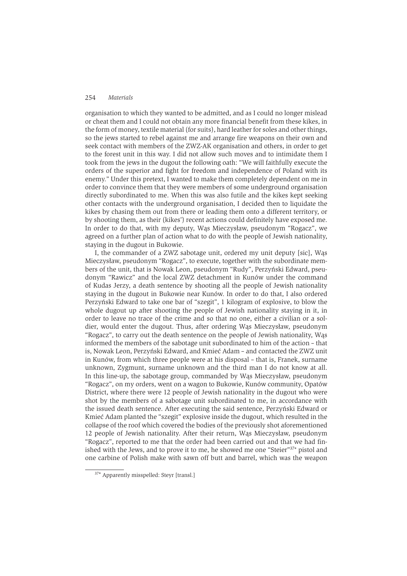organisation to which they wanted to be admitted, and as I could no longer mislead or cheat them and I could not obtain any more financial benefit from these kikes, in the form of money, textile material (for suits), hard leather for soles and other things, so the jews started to rebel against me and arrange fire weapons on their own and seek contact with members of the ZWZ-AK organisation and others, in order to get to the forest unit in this way. I did not allow such moves and to intimidate them I took from the jews in the dugout the following oath: "We will faithfully execute the orders of the superior and fight for freedom and independence of Poland with its enemy." Under this pretext, I wanted to make them completely dependent on me in order to convince them that they were members of some underground organisation directly subordinated to me. When this was also futile and the kikes kept seeking other contacts with the underground organisation. I decided then to liquidate the kikes by chasing them out from there or leading them onto a different territory, or by shooting them, as their (kikes') recent actions could definitely have exposed me. In order to do that, with my deputy, Was Mieczysław, pseudonym "Rogacz", we agreed on a further plan of action what to do with the people of Jewish nationality. staving in the dugout in Bukowie.

I, the commander of a ZWZ sabotage unit, ordered my unit deputy [sic], Was Mieczysław, pseudonym "Rogacz", to execute, together with the subordinate members of the unit, that is Nowak Leon, pseudonym "Rudy", Perzyński Edward, pseudonym "Rawicz" and the local ZWZ detachment in Kunów under the command of Kudas Jerzy, a death sentence by shooting all the people of Jewish nationality staying in the dugout in Bukowie near Kunów. In order to do that, I also ordered Perzyński Edward to take one bar of "szegit", 1 kilogram of explosive, to blow the whole dugout up after shooting the people of Jewish nationality staying in it, in order to leave no trace of the crime and so that no one, either a civilian or a soldier, would enter the dugout. Thus, after ordering Was Mieczysław, pseudonym "Rogacz", to carry out the death sentence on the people of Jewish nationality, Was informed the members of the sabotage unit subordinated to him of the action - that is, Nowak Leon, Perzyński Edward, and Kmieć Adam - and contacted the ZWZ unit in Kunów, from which three people were at his disposal – that is, Franek, surname unknown, Zygmunt, surname unknown and the third man I do not know at all. In this line-up, the sabotage group, commanded by Was Mieczysław, pseudonym "Rogacz", on my orders, went on a wagon to Bukowie, Kunów community, Opatów District, where there were 12 people of Jewish nationality in the dugout who were shot by the members of a sabotage unit subordinated to me, in accordance with the issued death sentence. After executing the said sentence, Perzyński Edward or Kmieć Adam planted the "szegit" explosive inside the dugout, which resulted in the collapse of the roof which covered the bodies of the previously shot aforementioned 12 people of Jewish nationality. After their return, Was Mieczysław, pseudonym "Rogacz", reported to me that the order had been carried out and that we had finished with the Jews, and to prove it to me, he showed me one "Steier"<sup>37\*</sup> pistol and one carbine of Polish make with sawn off butt and barrel, which was the weapon

<sup>&</sup>lt;sup>37\*</sup> Apparently misspelled: Steyr [transl.]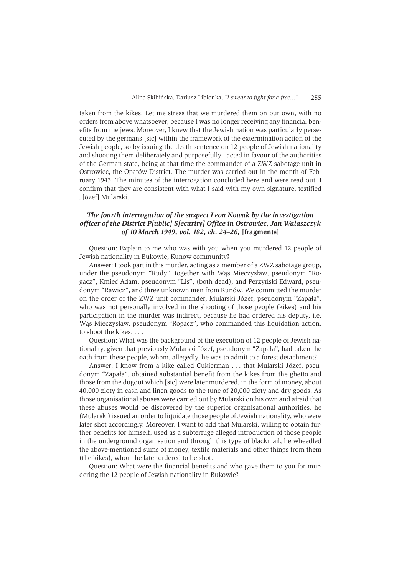taken from the kikes. Let me stress that we murdered them on our own, with no orders from above whatsoever, because I was no longer receiving any financial benefits from the jews. Moreover, I knew that the Jewish nation was particularly persecuted by the germans [sic] within the framework of the extermination action of the Jewish people, so by issuing the death sentence on 12 people of Jewish nationality and shooting them deliberately and purposefully I acted in favour of the authorities of the German state, being at that time the commander of a ZWZ sabotage unit in Ostrowiec, the Opatów District. The murder was carried out in the month of February 1943. The minutes of the interrogation concluded here and were read out. I confirm that they are consistent with what I said with my own signature, testified J[ózef] Mularski.

# The fourth interrogation of the suspect Leon Nowak by the investigation officer of the District P[ublic] S[ecurity] Office in Ostrowiec, Jan Walaszczyk of 10 March 1949, vol. 182, ch. 24-26, [fragments]

Question: Explain to me who was with you when you murdered 12 people of Jewish nationality in Bukowie, Kunów community?

Answer: I took part in this murder, acting as a member of a ZWZ sabotage group, under the pseudonym "Rudy", together with Was Mieczysław, pseudonym "Rogacz", Kmieć Adam, pseudonym "Lis", (both dead), and Perzyński Edward, pseudonym "Rawicz", and three unknown men from Kunów. We committed the murder on the order of the ZWZ unit commander, Mularski Józef, pseudonym "Zapała", who was not personally involved in the shooting of those people (kikes) and his participation in the murder was indirect, because he had ordered his deputy, i.e. Wąs Mieczysław, pseudonym "Rogacz", who commanded this liquidation action, to shoot the kikes....

Question: What was the background of the execution of 12 people of Jewish nationality, given that previously Mularski Józef, pseudonym "Zapała", had taken the oath from these people, whom, allegedly, he was to admit to a forest detachment?

Answer: I know from a kike called Cukierman ... that Mularski Józef, pseudonym "Zapała", obtained substantial benefit from the kikes from the ghetto and those from the dugout which [sic] were later murdered, in the form of money, about 40,000 zloty in cash and linen goods to the tune of 20,000 zloty and dry goods. As those organisational abuses were carried out by Mularski on his own and afraid that these abuses would be discovered by the superior organisational authorities, he (Mularski) issued an order to liquidate those people of Jewish nationality, who were later shot accordingly. Moreover, I want to add that Mularski, willing to obtain further benefits for himself, used as a subterfuge alleged introduction of those people in the underground organisation and through this type of blackmail, he wheedled the above-mentioned sums of money, textile materials and other things from them (the kikes), whom he later ordered to be shot.

Question: What were the financial benefits and who gave them to you for murdering the 12 people of Jewish nationality in Bukowie?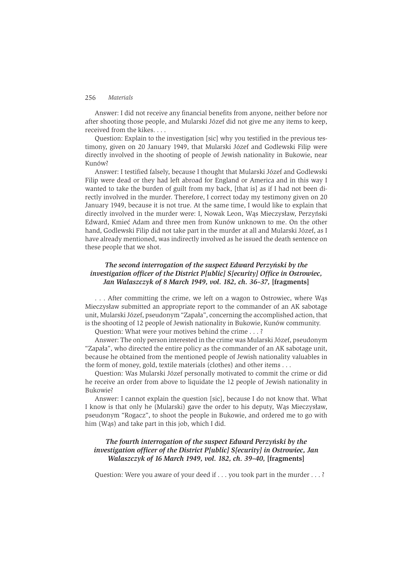Answer: I did not receive any financial benefits from anyone, neither before nor after shooting those people, and Mularski Józef did not give me any items to keep, received from the kikes....

Question: Explain to the investigation [sic] why you testified in the previous testimony, given on 20 January 1949, that Mularski Józef and Godlewski Filip were directly involved in the shooting of people of Jewish nationality in Bukowie, near Kunów?

Answer: I testified falsely, because I thought that Mularski Józef and Godlewski Filip were dead or they had left abroad for England or America and in this way I wanted to take the burden of guilt from my back, [that is] as if I had not been directly involved in the murder. Therefore, I correct today my testimony given on 20 January 1949, because it is not true. At the same time, I would like to explain that directly involved in the murder were: I, Nowak Leon, Was Mieczysław, Perzyński Edward, Kmieć Adam and three men from Kunów unknown to me. On the other hand, Godlewski Filip did not take part in the murder at all and Mularski Józef, as I have already mentioned, was indirectly involved as he issued the death sentence on these people that we shot.

### The second interrogation of the suspect Edward Perzyński by the *investigation officer of the District P[ublic] S[ecurity] Office in Ostrowiec,* Jan Walaszczyk of 8 March 1949, vol. 182, ch. 36-37, [fragments]

... After committing the crime, we left on a wagon to Ostrowiec, where Was Mieczysław submitted an appropriate report to the commander of an AK sabotage unit, Mularski Józef, pseudonym "Zapała", concerning the accomplished action, that is the shooting of 12 people of Jewish nationality in Bukowie, Kunów community.

Question: What were your motives behind the crime . . .?

Answer: The only person interested in the crime was Mularski Józef, pseudonym "Zapała", who directed the entire policy as the commander of an AK sabotage unit, because he obtained from the mentioned people of Jewish nationality valuables in the form of money, gold, textile materials (clothes) and other items . . .

Question: Was Mularski Józef personally motivated to commit the crime or did he receive an order from above to liquidate the 12 people of Jewish nationality in Bukowie?

Answer: I cannot explain the question [sic], because I do not know that. What I know is that only he (Mularski) gave the order to his deputy, Was Mieczysław, pseudonym "Rogacz", to shoot the people in Bukowie, and ordered me to go with him (Was) and take part in this job, which I did.

## The fourth interrogation of the suspect Edward Perzyński by the investigation officer of the District P[ublic] S[ecurity] in Ostrowiec, Jan Walaszczyk of 16 March 1949, vol. 182, ch. 39-40, [fragments]

Question: Were you aware of your deed if . . . you took part in the murder . . . ?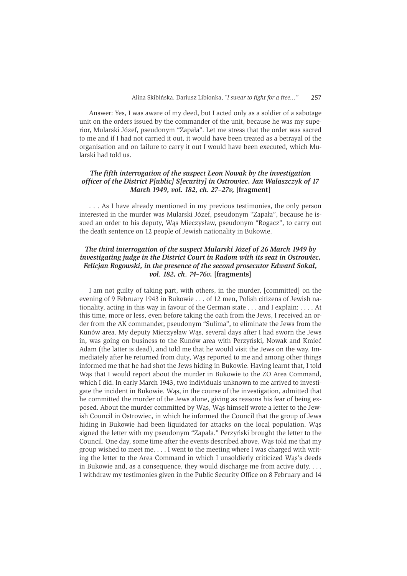Answer: Yes, I was aware of my deed, but I acted only as a soldier of a sabotage unit on the orders issued by the commander of the unit, because he was my superior, Mularski Józef, pseudonym "Zapała". Let me stress that the order was sacred to me and if I had not carried it out, it would have been treated as a betraval of the organisation and on failure to carry it out I would have been executed, which Mularski had told us

# The fifth interrogation of the suspect Leon Nowak by the investigation officer of the District P[ublic] S[ecurity] in Ostrowiec, Jan Walaszczyk of 17 March 1949, vol. 182, ch. 27-27v, [fragment]

... As I have already mentioned in my previous testimonies, the only person interested in the murder was Mularski Józef, pseudonym "Zapała", because he issued an order to his deputy, Was Mieczysław, pseudonym "Rogacz", to carry out the death sentence on 12 people of Jewish nationality in Bukowie.

### The third interrogation of the suspect Mularski Józef of 26 March 1949 by investigating judge in the District Court in Radom with its seat in Ostrowiec, Felicjan Rogowski, in the presence of the second prosecutor Edward Sokał, vol. 182, ch. 74-76v, [fragments]

I am not guilty of taking part, with others, in the murder, [committed] on the evening of 9 February 1943 in Bukowie . . . of 12 men, Polish citizens of Jewish nationality, acting in this way in favour of the German state  $\dots$  and I explain:  $\dots$  At this time, more or less, even before taking the oath from the Jews, I received an order from the AK commander, pseudonym "Sulima", to eliminate the Jews from the Kunów area. My deputy Mieczysław Wąs, several days after I had sworn the Jews in, was going on business to the Kunów area with Perzyński, Nowak and Kmieć Adam (the latter is dead), and told me that he would visit the Jews on the way. Immediately after he returned from duty. Was reported to me and among other things informed me that he had shot the Jews hiding in Bukowie. Having learnt that, I told Was that I would report about the murder in Bukowie to the ZO Area Command, which I did. In early March 1943, two individuals unknown to me arrived to investigate the incident in Bukowie. Was, in the course of the investigation, admitted that he committed the murder of the Jews alone, giving as reasons his fear of being exposed. About the murder committed by Was, Was himself wrote a letter to the Jewish Council in Ostrowiec, in which he informed the Council that the group of Jews hiding in Bukowie had been liquidated for attacks on the local population. Was signed the letter with my pseudonym "Zapała." Perzyński brought the letter to the Council. One day, some time after the events described above, Was told me that my group wished to meet me.  $\dots$  I went to the meeting where I was charged with writing the letter to the Area Command in which I unsoldierly criticized Was's deeds in Bukowie and, as a consequence, they would discharge me from active duty.  $\dots$ I withdraw my testimonies given in the Public Security Office on 8 February and 14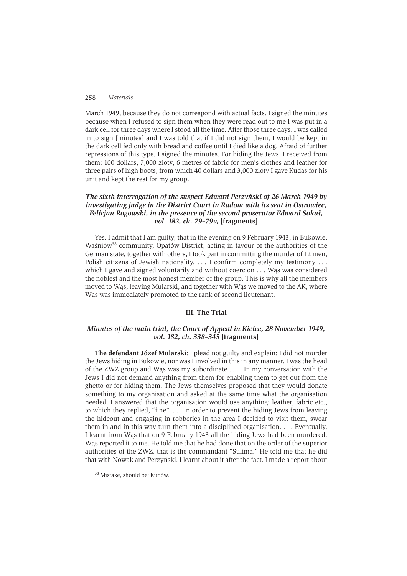March 1949, because they do not correspond with actual facts. I signed the minutes because when I refused to sign them when they were read out to me I was put in a dark cell for three days where I stood all the time. After those three days, I was called in to sign [minutes] and I was told that if I did not sign them, I would be kept in the dark cell fed only with bread and coffee until I died like a dog. Afraid of further repressions of this type. I signed the minutes. For hiding the Jews, I received from them: 100 dollars, 7,000 zloty, 6 metres of fabric for men's clothes and leather for three pairs of high boots, from which 40 dollars and 3,000 zloty I gave Kudas for his unit and kept the rest for my group.

### The sixth interrogation of the suspect Edward Perzyński of 26 March 1949 by investigating judge in the District Court in Radom with its seat in Ostrowiec, Felicjan Rogowski, in the presence of the second prosecutor Edward Sokał, vol. 182, ch. 79-79v. [fragments]

Yes, I admit that I am guilty, that in the evening on 9 February 1943, in Bukowie, Waśniów<sup>38</sup> community, Opatów District, acting in favour of the authorities of the German state, together with others, I took part in committing the murder of 12 men. Polish citizens of Jewish nationality. . . . I confirm completely my testimony . . . which I gave and signed voluntarily and without coercion . . . Was was considered the noblest and the most honest member of the group. This is why all the members moved to Was, leaving Mularski, and together with Was we moved to the AK, where Was was immediately promoted to the rank of second lieutenant.

### **III. The Trial**

### Minutes of the main trial, the Court of Appeal in Kielce, 28 November 1949, vol. 182, ch. 338-345 [fragments]

The defendant Józef Mularski: I plead not guilty and explain: I did not murder the Jews hiding in Bukowie, nor was I involved in this in any manner. I was the head of the ZWZ group and Was was my subordinate . . . . In my conversation with the Jews I did not demand anything from them for enabling them to get out from the ghetto or for hiding them. The Jews themselves proposed that they would donate something to my organisation and asked at the same time what the organisation needed. I answered that the organisation would use anything: leather, fabric etc., to which they replied, "fine".... In order to prevent the hiding Jews from leaving the hideout and engaging in robberies in the area I decided to visit them, swear them in and in this way turn them into a disciplined organisation. . . . Eventually, I learnt from Wąs that on 9 February 1943 all the hiding Jews had been murdered. Was reported it to me. He told me that he had done that on the order of the superior authorities of the ZWZ, that is the commandant "Sulima." He told me that he did that with Nowak and Perzyński. I learnt about it after the fact. I made a report about

<sup>&</sup>lt;sup>38</sup> Mistake, should be: Kunów.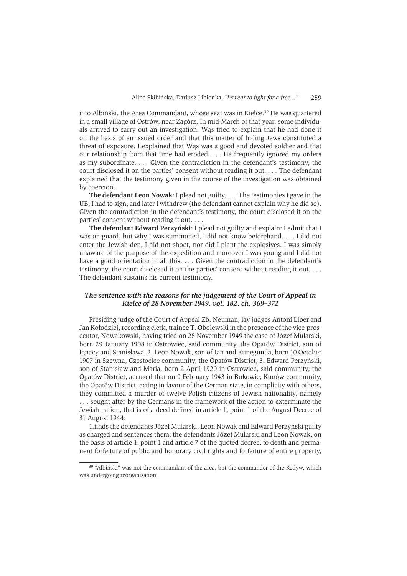it to Albiński, the Area Commandant, whose seat was in Kielce.<sup>39</sup> He was quartered in a small village of Ostrów, near Zagórz. In mid-March of that year, some individuals arrived to carry out an investigation. Was tried to explain that he had done it on the basis of an issued order and that this matter of hiding Jews constituted a threat of exposure. I explained that Was was a good and devoted soldier and that our relationship from that time had eroded.... He frequently ignored my orders as my subordinate. . . . Given the contradiction in the defendant's testimony, the court disclosed it on the parties' consent without reading it out.... The defendant explained that the testimony given in the course of the investigation was obtained by coercion.

**The defendant Leon Nowak:** I plead not guilty.  $\ldots$  The testimonies I gave in the UB, I had to sign, and later I withdrew (the defendant cannot explain why he did so). Given the contradiction in the defendant's testimony, the court disclosed it on the parties' consent without reading it out....

The defendant Edward Perzyński: I plead not guilty and explain: I admit that I was on guard, but why I was summoned. I did not know beforehand.... I did not enter the Jewish den, I did not shoot, nor did I plant the explosives. I was simply unaware of the purpose of the expedition and moreover I was young and I did not have a good orientation in all this.  $\ldots$  Given the contradiction in the defendant's testimony, the court disclosed it on the parties' consent without reading it out.... The defendant sustains his current testimony.

## The sentence with the reasons for the judgement of the Court of Appeal in Kielce of 28 November 1949, vol. 182, ch. 369-372

Presiding judge of the Court of Appeal Zb. Neuman, lay judges Antoni Liber and Jan Kołodziej, recording clerk, trainee T. Obolewski in the presence of the vice-prosecutor, Nowakowski, having tried on 28 November 1949 the case of Józef Mularski, born 29 January 1908 in Ostrowiec, said community, the Opatów District, son of Ignacy and Stanisława, 2. Leon Nowak, son of Jan and Kunegunda, born 10 October 1907 in Szewna, Częstocice community, the Opatów District, 3. Edward Perzyński, son of Stanisław and Maria, born 2 April 1920 in Ostrowiec, said community, the Opatów District, accused that on 9 February 1943 in Bukowie, Kunów community, the Opatów District, acting in favour of the German state, in complicity with others, they committed a murder of twelve Polish citizens of Jewish nationality, namely ... sought after by the Germans in the framework of the action to exterminate the Jewish nation, that is of a deed defined in article 1, point 1 of the August Decree of 31 August 1944:

1. finds the defendants Józef Mularski, Leon Nowak and Edward Perzyński guilty as charged and sentences them: the defendants Józef Mularski and Leon Nowak, on the basis of article 1, point 1 and article 7 of the quoted decree, to death and permanent forfeiture of public and honorary civil rights and forfeiture of entire property,

<sup>&</sup>lt;sup>39</sup> "Albiński" was not the commandant of the area, but the commander of the Kedyw, which was undergoing reorganisation.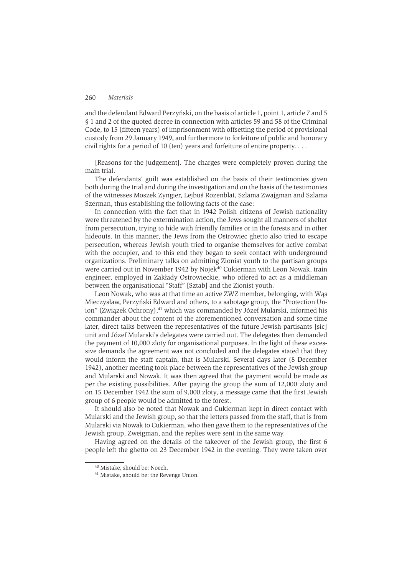and the defendant Edward Perzyński, on the basis of article 1, point 1, article 7 and 5 § 1 and 2 of the quoted decree in connection with articles 59 and 58 of the Criminal Code, to 15 (fifteen years) of imprisonment with offsetting the period of provisional custody from 29 January 1949, and furthermore to forfeiture of public and honorary civil rights for a period of 10 (ten) years and forfeiture of entire property....

[Reasons for the judgement]. The charges were completely proven during the main trial.

The defendants' guilt was established on the basis of their testimonies given both during the trial and during the investigation and on the basis of the testimonies of the witnesses Moszek Zyngier, Lejbuś Rozenblat, Szlama Zwajgman and Szlama Szerman, thus establishing the following facts of the case:

In connection with the fact that in 1942 Polish citizens of Jewish nationality were threatened by the extermination action, the Jews sought all manners of shelter from persecution, trying to hide with friendly families or in the forests and in other hideouts. In this manner, the Jews from the Ostrowiec ghetto also tried to escape persecution, whereas Jewish youth tried to organise themselves for active combat with the occupier, and to this end they began to seek contact with underground organizations. Preliminary talks on admitting Zionist youth to the partisan groups were carried out in November 1942 by Nojek<sup>40</sup> Cukierman with Leon Nowak, train engineer, employed in Zakłady Ostrowieckie, who offered to act as a middleman between the organisational "Staff" [Sztab] and the Zionist vouth.

Leon Nowak, who was at that time an active ZWZ member, belonging, with Was Mieczysław, Perzyński Edward and others, to a sabotage group, the "Protection Union" (Związek Ochrony),<sup>41</sup> which was commanded by Józef Mularski, informed his commander about the content of the aforementioned conversation and some time later, direct talks between the representatives of the future Jewish partisants [sic] unit and Józef Mularski's delegates were carried out. The delegates then demanded the payment of 10,000 zloty for organisational purposes. In the light of these excessive demands the agreement was not concluded and the delegates stated that they would inform the staff captain, that is Mularski. Several days later (8 December 1942), another meeting took place between the representatives of the Jewish group and Mularski and Nowak. It was then agreed that the payment would be made as per the existing possibilities. After paying the group the sum of 12,000 zloty and on 15 December 1942 the sum of 9,000 zloty, a message came that the first Jewish group of 6 people would be admitted to the forest.

It should also be noted that Nowak and Cukierman kept in direct contact with Mularski and the Jewish group, so that the letters passed from the staff, that is from Mularski via Nowak to Cukierman, who then gave them to the representatives of the Jewish group, Zweigman, and the replies were sent in the same way.

Having agreed on the details of the takeover of the Jewish group, the first 6 people left the ghetto on 23 December 1942 in the evening. They were taken over

<sup>&</sup>lt;sup>40</sup> Mistake, should be: Noech.

<sup>&</sup>lt;sup>41</sup> Mistake, should be: the Revenge Union.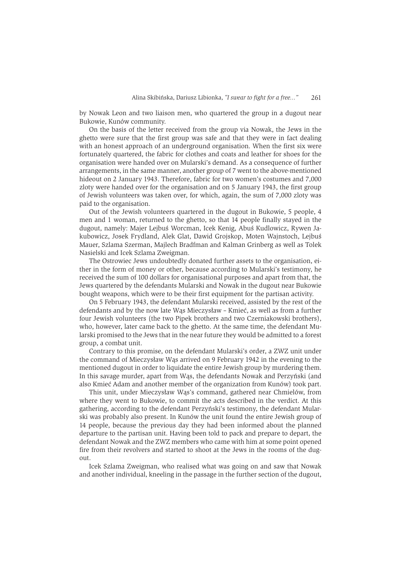by Nowak Leon and two liaison men, who quartered the group in a dugout near Bukowie, Kunów community.

On the basis of the letter received from the group via Nowak, the Jews in the ghetto were sure that the first group was safe and that they were in fact dealing with an honest approach of an underground organisation. When the first six were fortunately quartered, the fabric for clothes and coats and leather for shoes for the organisation were handed over on Mularski's demand. As a consequence of further arrangements, in the same manner, another group of 7 went to the above-mentioned hideout on 2 January 1943. Therefore, fabric for two women's costumes and 7,000 zloty were handed over for the organisation and on 5 January 1943, the first group of Jewish volunteers was taken over, for which, again, the sum of 7,000 zloty was paid to the organisation.

Out of the Jewish volunteers quartered in the dugout in Bukowie, 5 people, 4 men and 1 woman, returned to the ghetto, so that 14 people finally stayed in the dugout, namely: Majer Lejbuś Worcman, Icek Kenig, Abuś Kudlowicz, Rywen Jakubowicz, Josek Frydland, Alek Glat, Dawid Groiskop, Moten Wainstoch, Leibuś Mauer, Szlama Szerman, Mailech Bradfman and Kalman Grinberg as well as Tolek Nasielski and Icek Szlama Zweigman.

The Ostrowiec Jews undoubtedly donated further assets to the organisation, either in the form of money or other, because according to Mularski's testimony, he received the sum of 100 dollars for organisational purposes and apart from that, the Jews quartered by the defendants Mularski and Nowak in the dugout near Bukowie bought weapons, which were to be their first equipment for the partisan activity.

On 5 February 1943, the defendant Mularski received, assisted by the rest of the defendants and by the now late Was Mieczysław - Kmieć, as well as from a further four Jewish volunteers (the two Pipek brothers and two Czerniakowski brothers), who, however, later came back to the ghetto. At the same time, the defendant Mularski promised to the Jews that in the near future they would be admitted to a forest group, a combat unit.

Contrary to this promise, on the defendant Mularski's order, a ZWZ unit under the command of Mieczysław Was arrived on 9 February 1942 in the evening to the mentioned dugout in order to liquidate the entire Jewish group by murdering them. In this savage murder, apart from Was, the defendants Nowak and Perzyński (and also Kmieć Adam and another member of the organization from Kunów) took part.

This unit, under Mieczysław Wąs's command, gathered near Chmielów, from where they went to Bukowie, to commit the acts described in the verdict. At this gathering, according to the defendant Perzyński's testimony, the defendant Mularski was probably also present. In Kunów the unit found the entire Jewish group of 14 people, because the previous day they had been informed about the planned departure to the partisan unit. Having been told to pack and prepare to depart, the defendant Nowak and the ZWZ members who came with him at some point opened fire from their revolvers and started to shoot at the Jews in the rooms of the dugout.

Icek Szlama Zweigman, who realised what was going on and saw that Nowak and another individual, kneeling in the passage in the further section of the dugout,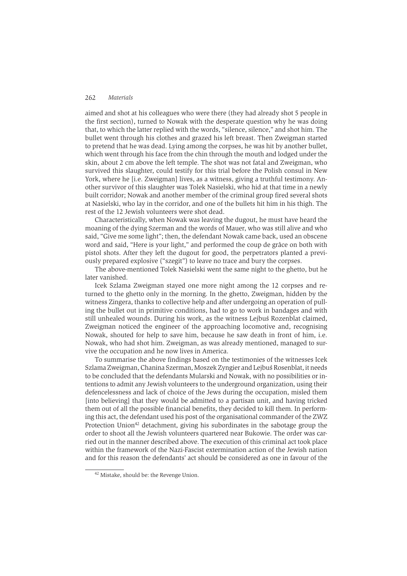aimed and shot at his colleagues who were there (they had already shot 5 people in the first section), turned to Nowak with the desperate question why he was doing that, to which the latter replied with the words, "silence, silence," and shot him. The bullet went through his clothes and grazed his left breast. Then Zweigman started to pretend that he was dead. Lying among the corpses, he was hit by another bullet, which went through his face from the chin through the mouth and lodged under the skin, about 2 cm above the left temple. The shot was not fatal and Zweigman, who survived this slaughter, could testify for this trial before the Polish consul in New York, where he *li.e.* Zweigmanl lives, as a witness, giving a truthful testimony. Another survivor of this slaughter was Tolek Nasielski, who hid at that time in a newly built corridor; Nowak and another member of the criminal group fired several shots at Nasielski, who lay in the corridor, and one of the bullets hit him in his thigh. The rest of the 12 Jewish volunteers were shot dead.

Characteristically, when Nowak was leaving the dugout, he must have heard the moaning of the dying Szerman and the words of Mauer, who was still alive and who said, "Give me some light": then, the defendant Nowak came back, used an obscene word and said, "Here is your light," and performed the coup de grâce on both with pistol shots. After they left the dugout for good, the perpetrators planted a previously prepared explosive ("szegit") to leave no trace and bury the corpses.

The above-mentioned Tolek Nasielski went the same night to the ghetto, but he later vanished

Icek Szlama Zweigman stayed one more night among the 12 corpses and returned to the ghetto only in the morning. In the ghetto, Zweigman, hidden by the witness Zingera, thanks to collective help and after undergoing an operation of pulling the bullet out in primitive conditions, had to go to work in bandages and with still unhealed wounds. During his work, as the witness Lejbus Rozenblat claimed, Zweigman noticed the engineer of the approaching locomotive and, recognising Nowak, shouted for help to save him, because he saw death in front of him, i.e. Nowak, who had shot him. Zweigman, as was already mentioned, managed to survive the occupation and he now lives in America.

To summarise the above findings based on the testimonies of the witnesses Icek Szlama Zweigman, Chanina Szerman, Moszek Zyngier and Lejbuś Rosenblat, it needs to be concluded that the defendants Mularski and Nowak, with no possibilities or intentions to admit any Jewish volunteers to the underground organization, using their defencelessness and lack of choice of the Jews during the occupation, misled them [into believing] that they would be admitted to a partisan unit, and having tricked them out of all the possible financial benefits, they decided to kill them. In performing this act, the defendant used his post of the organisational commander of the ZWZ Protection Union<sup>42</sup> detachment, giving his subordinates in the sabotage group the order to shoot all the Jewish volunteers quartered near Bukowie. The order was carried out in the manner described above. The execution of this criminal act took place within the framework of the Nazi-Fascist extermination action of the Jewish nation and for this reason the defendants' act should be considered as one in favour of the

<sup>&</sup>lt;sup>42</sup> Mistake, should be: the Revenge Union.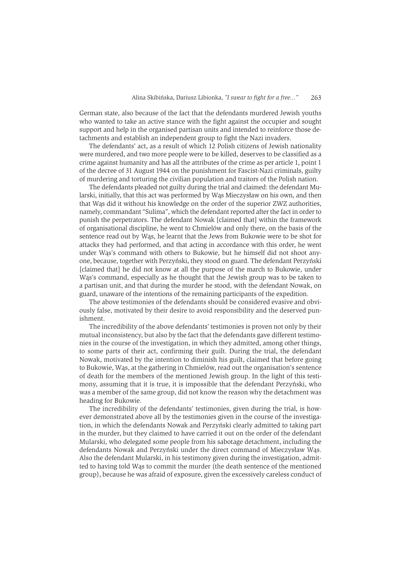German state, also because of the fact that the defendants murdered Jewish youths who wanted to take an active stance with the fight against the occupier and sought support and help in the organised partisan units and intended to reinforce those detachments and establish an independent group to fight the Nazi invaders.

The defendants' act, as a result of which 12 Polish citizens of Jewish nationality were murdered, and two more people were to be killed, deserves to be classified as a crime against humanity and has all the attributes of the crime as per article 1, point 1 of the decree of 31 August 1944 on the punishment for Fascist-Nazi criminals, guilty of murdering and torturing the civilian population and traitors of the Polish nation.

The defendants pleaded not guilty during the trial and claimed: the defendant Mularski, initially, that this act was performed by Was Mieczysław on his own, and then that Was did it without his knowledge on the order of the superior ZWZ authorities. namely, commandant "Sulima", which the defendant reported after the fact in order to punish the perpetrators. The defendant Nowak [claimed that] within the framework of organisational discipline, he went to Chmielów and only there, on the basis of the sentence read out by Was, he learnt that the Jews from Bukowie were to be shot for attacks they had performed, and that acting in accordance with this order, he went under Was's command with others to Bukowie, but he himself did not shoot anyone, because, together with Perzyński, they stood on guard. The defendant Perzyński [claimed that] he did not know at all the purpose of the march to Bukowie, under Was's command, especially as he thought that the Jewish group was to be taken to a partisan unit, and that during the murder he stood, with the defendant Nowak, on guard, unaware of the intentions of the remaining participants of the expedition.

The above testimonies of the defendants should be considered evasive and obviously false, motivated by their desire to avoid responsibility and the deserved punishment.

The incredibility of the above defendants' testimonies is proven not only by their mutual inconsistency, but also by the fact that the defendants gave different testimonies in the course of the investigation, in which they admitted, among other things, to some parts of their act, confirming their guilt. During the trial, the defendant Nowak, motivated by the intention to diminish his guilt, claimed that before going to Bukowie, Was, at the gathering in Chmielów, read out the organisation's sentence of death for the members of the mentioned Jewish group. In the light of this testimony, assuming that it is true, it is impossible that the defendant Perzyński, who was a member of the same group, did not know the reason why the detachment was heading for Bukowie.

The incredibility of the defendants' testimonies, given during the trial, is however demonstrated above all by the testimonies given in the course of the investigation, in which the defendants Nowak and Perzyński clearly admitted to taking part in the murder, but they claimed to have carried it out on the order of the defendant Mularski, who delegated some people from his sabotage detachment, including the defendants Nowak and Perzyński under the direct command of Mieczysław Wąs. Also the defendant Mularski, in his testimony given during the investigation, admitted to having told Was to commit the murder (the death sentence of the mentioned group), because he was afraid of exposure, given the excessively careless conduct of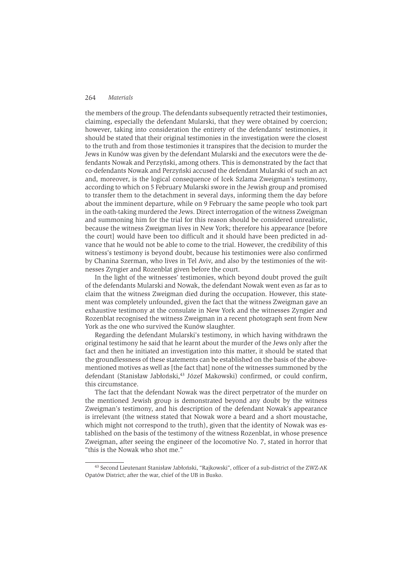the members of the group. The defendants subsequently retracted their testimonies, claiming, especially the defendant Mularski, that they were obtained by coercion; however, taking into consideration the entirety of the defendants' testimonies, it should be stated that their original testimonies in the investigation were the closest to the truth and from those testimonies it transpires that the decision to murder the Jews in Kunów was given by the defendant Mularski and the executors were the defendants Nowak and Perzyński, among others. This is demonstrated by the fact that co-defendants Nowak and Perzyński accused the defendant Mularski of such an act and, moreover, is the logical consequence of Icek Szlama Zweigman's testimony, according to which on 5 February Mularski swore in the Jewish group and promised to transfer them to the detachment in several days, informing them the day before about the imminent departure, while on 9 February the same people who took part in the oath-taking murdered the Jews. Direct interrogation of the witness Zweigman and summoning him for the trial for this reason should be considered unrealistic, because the witness Zweigman lives in New York; therefore his appearance [before] the courtl would have been too difficult and it should have been predicted in advance that he would not be able to come to the trial. However, the credibility of this witness's testimony is beyond doubt, because his testimonies were also confirmed by Chanina Szerman, who lives in Tel Aviv, and also by the testimonies of the witnesses Zyngier and Rozenblat given before the court.

In the light of the witnesses' testimonies, which beyond doubt proved the guilt of the defendants Mularski and Nowak, the defendant Nowak went even as far as to claim that the witness Zweigman died during the occupation. However, this statement was completely unfounded, given the fact that the witness Zweigman gave an exhaustive testimony at the consulate in New York and the witnesses Zyngier and Rozenblat recognised the witness Zweigman in a recent photograph sent from New York as the one who survived the Kunów slaughter.

Regarding the defendant Mularski's testimony, in which having withdrawn the original testimony he said that he learnt about the murder of the Jews only after the fact and then he initiated an investigation into this matter, it should be stated that the groundlessness of these statements can be established on the basis of the abovementioned motives as well as [the fact that] none of the witnesses summoned by the defendant (Stanisław Jabłoński,<sup>43</sup> Józef Makowski) confirmed, or could confirm, this circumstance.

The fact that the defendant Nowak was the direct perpetrator of the murder on the mentioned Jewish group is demonstrated beyond any doubt by the witness Zweigman's testimony, and his description of the defendant Nowak's appearance is irrelevant (the witness stated that Nowak wore a beard and a short moustache, which might not correspond to the truth), given that the identity of Nowak was established on the basis of the testimony of the witness Rozenblat, in whose presence Zweigman, after seeing the engineer of the locomotive No. 7, stated in horror that "this is the Nowak who shot me."

<sup>&</sup>lt;sup>43</sup> Second Lieutenant Stanisław Jabłoński, "Rajkowski", officer of a sub-district of the ZWZ-AK Opatów District; after the war, chief of the UB in Busko.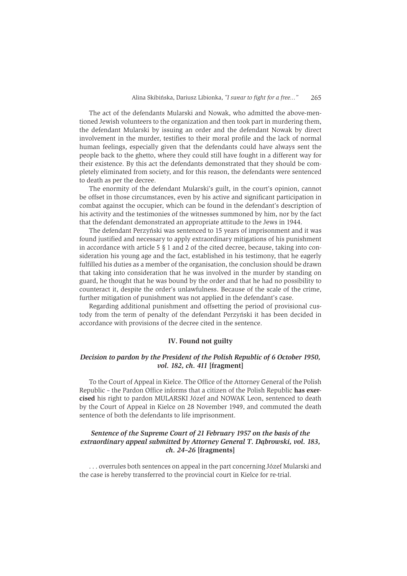The act of the defendants Mularski and Nowak, who admitted the above-mentioned Jewish volunteers to the organization and then took part in murdering them, the defendant Mularski by issuing an order and the defendant Nowak by direct involvement in the murder, testifies to their moral profile and the lack of normal human feelings, especially given that the defendants could have always sent the people back to the ghetto, where they could still have fought in a different way for their existence. By this act the defendants demonstrated that they should be completely eliminated from society, and for this reason, the defendants were sentenced to death as per the decree.

The enormity of the defendant Mularski's guilt, in the court's opinion, cannot be offset in those circumstances, even by his active and significant participation in combat against the occupier, which can be found in the defendant's description of his activity and the testimonies of the witnesses summoned by him, nor by the fact that the defendant demonstrated an appropriate attitude to the Jews in 1944.

The defendant Perzyński was sentenced to 15 years of imprisonment and it was found justified and necessary to apply extraordinary mitigations of his punishment in accordance with article  $5 \nS$  1 and 2 of the cited decree, because, taking into consideration his young age and the fact, established in his testimony, that he eagerly fulfilled his duties as a member of the organisation, the conclusion should be drawn that taking into consideration that he was involved in the murder by standing on guard, he thought that he was bound by the order and that he had no possibility to counteract it, despite the order's unlawfulness. Because of the scale of the crime, further mitigation of punishment was not applied in the defendant's case.

Regarding additional punishment and offsetting the period of provisional custody from the term of penalty of the defendant Perzyński it has been decided in accordance with provisions of the decree cited in the sentence.

# IV. Found not guilty

### Decision to pardon by the President of the Polish Republic of 6 October 1950, vol. 182, ch. 411 [fragment]

To the Court of Appeal in Kielce. The Office of the Attorney General of the Polish Republic - the Pardon Office informs that a citizen of the Polish Republic has exercised his right to pardon MULARSKI Józef and NOWAK Leon, sentenced to death by the Court of Appeal in Kielce on 28 November 1949, and commuted the death sentence of both the defendants to life imprisonment.

## Sentence of the Supreme Court of 21 February 1957 on the basis of the extraordinary appeal submitted by Attorney General T. Dabrowski, vol. 183,  $ch. 24-26$  [fragments]

... overrules both sentences on appeal in the part concerning Józef Mularski and the case is hereby transferred to the provincial court in Kielce for re-trial.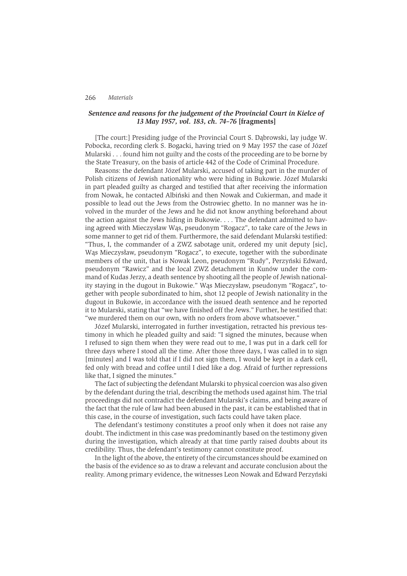### Sentence and reasons for the judgement of the Provincial Court in Kielce of 13 May 1957, vol. 183, ch. 74-76 [fragments]

[The court:] Presiding judge of the Provincial Court S. Dabrowski, lay judge W. Pobocka, recording clerk S. Bogacki, having tried on 9 May 1957 the case of Józef Mularski... found him not guilty and the costs of the proceeding are to be borne by the State Treasury, on the basis of article 442 of the Code of Criminal Procedure.

Reasons: the defendant Józef Mularski, accused of taking part in the murder of Polish citizens of Jewish nationality who were hiding in Bukowie. Józef Mularski in part pleaded guilty as charged and testified that after receiving the information from Nowak, he contacted Albiński and then Nowak and Cukierman, and made it possible to lead out the Jews from the Ostrowiec ghetto. In no manner was he involved in the murder of the Jews and he did not know anything beforehand about the action against the Jews hiding in Bukowie. . . . The defendant admitted to having agreed with Mieczysław Wąs, pseudonym "Rogacz", to take care of the Jews in some manner to get rid of them. Furthermore, the said defendant Mularski testified: "Thus, I, the commander of a ZWZ sabotage unit, ordered my unit deputy [sic], Was Mieczysław, pseudonym "Rogacz", to execute, together with the subordinate members of the unit, that is Nowak Leon, pseudonym "Rudy", Perzyński Edward, pseudonym "Rawicz" and the local ZWZ detachment in Kunów under the command of Kudas Jerzy, a death sentence by shooting all the people of Jewish nationality staying in the dugout in Bukowie." Was Mieczysław, pseudonym "Rogacz", together with people subordinated to him, shot 12 people of Jewish nationality in the dugout in Bukowie, in accordance with the issued death sentence and he reported it to Mularski, stating that "we have finished off the Jews." Further, he testified that: "we murdered them on our own, with no orders from above whatsoever."

Józef Mularski, interrogated in further investigation, retracted his previous testimony in which he pleaded guilty and said: "I signed the minutes, because when I refused to sign them when they were read out to me, I was put in a dark cell for three days where I stood all the time. After those three days, I was called in to sign [minutes] and I was told that if I did not sign them, I would be kept in a dark cell, fed only with bread and coffee until I died like a dog. Afraid of further repressions like that, I signed the minutes."

The fact of subjecting the defendant Mularski to physical coercion was also given by the defendant during the trial, describing the methods used against him. The trial proceedings did not contradict the defendant Mularski's claims, and being aware of the fact that the rule of law had been abused in the past, it can be established that in this case, in the course of investigation, such facts could have taken place.

The defendant's testimony constitutes a proof only when it does not raise any doubt. The indictment in this case was predominantly based on the testimony given during the investigation, which already at that time partly raised doubts about its credibility. Thus, the defendant's testimony cannot constitute proof.

In the light of the above, the entirety of the circumstances should be examined on the basis of the evidence so as to draw a relevant and accurate conclusion about the reality. Among primary evidence, the witnesses Leon Nowak and Edward Perzyński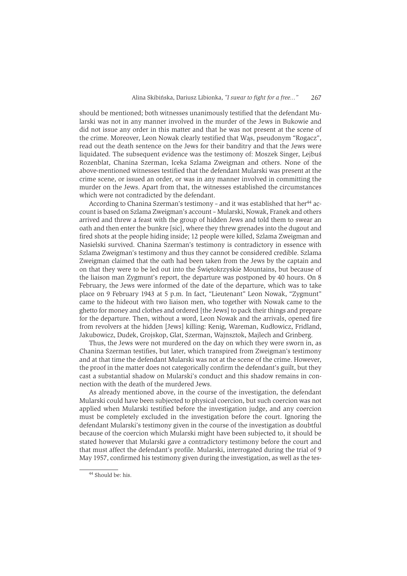should be mentioned: both witnesses unanimously testified that the defendant Mularski was not in any manner involved in the murder of the Jews in Bukowie and did not issue any order in this matter and that he was not present at the scene of the crime. Moreover, Leon Nowak clearly testified that Was, pseudonym "Rogacz", read out the death sentence on the Jews for their banditry and that the Jews were liquidated. The subsequent evidence was the testimony of: Moszek Singer, Leibuś Rozenblat, Chanina Szerman, Iceka Szlama Zweigman and others. None of the above-mentioned witnesses testified that the defendant Mularski was present at the crime scene, or issued an order, or was in any manner involved in committing the murder on the Jews. Apart from that, the witnesses established the circumstances which were not contradicted by the defendant.

According to Chanina Szerman's testimony – and it was established that her<sup>44</sup> account is based on Szlama Zweigman's account - Mularski, Nowak, Franek and others arrived and threw a feast with the group of hidden Jews and told them to swear an oath and then enter the bunkre [sic], where they threw grenades into the dugout and fired shots at the people hiding inside; 12 people were killed, Szlama Zweigman and Nasielski survived. Chanina Szerman's testimony is contradictory in essence with Szlama Zweigman's testimony and thus they cannot be considered credible. Szlama Zweigman claimed that the oath had been taken from the Jews by the captain and on that they were to be led out into the Świetokrzyskie Mountains, but because of the liaison man Zygmunt's report, the departure was postponed by 40 hours. On 8 February, the Jews were informed of the date of the departure, which was to take place on 9 February 1943 at 5 p.m. In fact, "Lieutenant" Leon Nowak, "Zygmunt" came to the hideout with two liaison men, who together with Nowak came to the ghetto for money and clothes and ordered [the Jews] to pack their things and prepare for the departure. Then, without a word, Leon Nowak and the arrivals, opened fire from revolvers at the hidden [Jews] killing: Kenig, Wareman, Kudłowicz, Fridland, Jakubowicz, Dudek, Grojskop, Glat, Szerman, Wainsztok, Mailech and Grinberg.

Thus, the Jews were not murdered on the day on which they were sworn in, as Chanina Szerman testifies, but later, which transpired from Zweigman's testimony and at that time the defendant Mularski was not at the scene of the crime. However, the proof in the matter does not categorically confirm the defendant's guilt, but they cast a substantial shadow on Mularski's conduct and this shadow remains in connection with the death of the murdered Jews.

As already mentioned above, in the course of the investigation, the defendant Mularski could have been subjected to physical coercion, but such coercion was not applied when Mularski testified before the investigation judge, and any coercion must be completely excluded in the investigation before the court. Ignoring the defendant Mularski's testimony given in the course of the investigation as doubtful because of the coercion which Mularski might have been subjected to, it should be stated however that Mularski gave a contradictory testimony before the court and that must affect the defendant's profile. Mularski, interrogated during the trial of 9 May 1957, confirmed his testimony given during the investigation, as well as the tes-

<sup>&</sup>lt;sup>44</sup> Should be: his.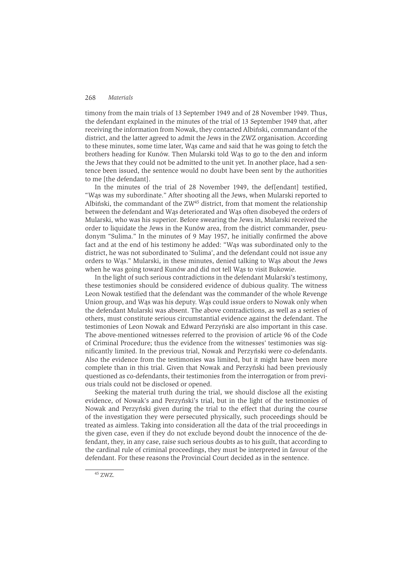timony from the main trials of 13 September 1949 and of 28 November 1949. Thus, the defendant explained in the minutes of the trial of 13 September 1949 that, after receiving the information from Nowak, they contacted Albiński, commandant of the district, and the latter agreed to admit the Jews in the ZWZ organisation. According to these minutes, some time later, Was came and said that he was going to fetch the brothers heading for Kunów. Then Mularski told Was to go to the den and inform the Jews that they could not be admitted to the unit yet. In another place, had a sentence been issued, the sentence would no doubt have been sent by the authorities to me [the defendant].

In the minutes of the trial of 28 November 1949, the deflendantl testified, "Was was my subordinate." After shooting all the Jews, when Mularski reported to Albiński, the commandant of the  $ZW^{45}$  district, from that moment the relationship between the defendant and Was deteriorated and Was often disobeyed the orders of Mularski, who was his superior. Before swearing the Jews in, Mularski received the order to liquidate the Jews in the Kunów area, from the district commander, pseudonym "Sulima." In the minutes of 9 May 1957, he initially confirmed the above fact and at the end of his testimony he added: "Was was subordinated only to the district, he was not subordinated to 'Sulima', and the defendant could not issue any orders to Was." Mularski, in these minutes, denied talking to Was about the Jews when he was going toward Kunów and did not tell Was to visit Bukowie.

In the light of such serious contradictions in the defendant Mularski's testimony. these testimonies should be considered evidence of dubious quality. The witness Leon Nowak testified that the defendant was the commander of the whole Revenge Union group, and Was was his deputy. Was could issue orders to Nowak only when the defendant Mularski was absent. The above contradictions, as well as a series of others, must constitute serious circumstantial evidence against the defendant. The testimonies of Leon Nowak and Edward Perzyński are also important in this case. The above-mentioned witnesses referred to the provision of article 96 of the Code of Criminal Procedure; thus the evidence from the witnesses' testimonies was significantly limited. In the previous trial, Nowak and Perzyński were co-defendants. Also the evidence from the testimonies was limited, but it might have been more complete than in this trial. Given that Nowak and Perzyński had been previously questioned as co-defendants, their testimonies from the interrogation or from previous trials could not be disclosed or opened.

Seeking the material truth during the trial, we should disclose all the existing evidence, of Nowak's and Perzyński's trial, but in the light of the testimonies of Nowak and Perzyński given during the trial to the effect that during the course of the investigation they were persecuted physically, such proceedings should be treated as aimless. Taking into consideration all the data of the trial proceedings in the given case, even if they do not exclude beyond doubt the innocence of the defendant, they, in any case, raise such serious doubts as to his guilt, that according to the cardinal rule of criminal proceedings, they must be interpreted in favour of the defendant. For these reasons the Provincial Court decided as in the sentence.

 $45$  ZWZ.